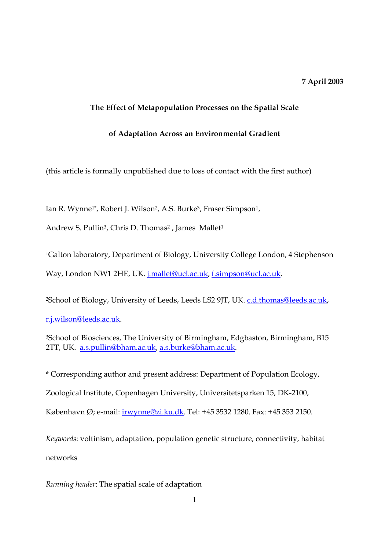# 7 April 2003

## The Effect of Metapopulation Processes on the Spatial Scale

## of Adaptation Across an Environmental Gradient

(this article is formally unpublished due to loss of contact with the first author)

Ian R. Wynne<sup>1\*</sup>, Robert J. Wilson<sup>2</sup>, A.S. Burke<sup>3</sup>, Fraser Simpson<sup>1</sup>,

Andrew S. Pullin<sup>3</sup>, Chris D. Thomas<sup>2</sup>, James Mallet<sup>1</sup>

<sup>1</sup>Galton laboratory, Department of Biology, University College London, 4 Stephenson Way, London NW1 2HE, UK. j.mallet@ucl.ac.uk, f.simpson@ucl.ac.uk.

<sup>2</sup>School of Biology, University of Leeds, Leeds LS2 9JT, UK. c.d.thomas@leeds.ac.uk,

r.j.wilson@leeds.ac.uk.

<sup>3</sup>School of Biosciences, The University of Birmingham, Edgbaston, Birmingham, B15 2TT, UK. a.s.pullin@bham.ac.uk, a.s.burke@bham.ac.uk.

\* Corresponding author and present address: Department of Population Ecology, Zoological Institute, Copenhagen University, Universitetsparken 15, DK-2100,

København Ø; e-mail: irwynne@zi.ku.dk. Tel: +45 3532 1280. Fax: +45 353 2150.

Keywords: voltinism, adaptation, population genetic structure, connectivity, habitat networks

Running header: The spatial scale of adaptation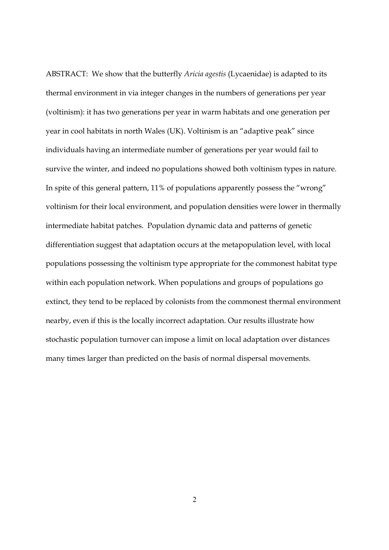ABSTRACT: We show that the butterfly Aricia agestis (Lycaenidae) is adapted to its thermal environment in via integer changes in the numbers of generations per year (voltinism): it has two generations per year in warm habitats and one generation per year in cool habitats in north Wales (UK). Voltinism is an "adaptive peak" since individuals having an intermediate number of generations per year would fail to survive the winter, and indeed no populations showed both voltinism types in nature. In spite of this general pattern, 11% of populations apparently possess the "wrong" voltinism for their local environment, and population densities were lower in thermally intermediate habitat patches. Population dynamic data and patterns of genetic differentiation suggest that adaptation occurs at the metapopulation level, with local populations possessing the voltinism type appropriate for the commonest habitat type within each population network. When populations and groups of populations go extinct, they tend to be replaced by colonists from the commonest thermal environment nearby, even if this is the locally incorrect adaptation. Our results illustrate how stochastic population turnover can impose a limit on local adaptation over distances many times larger than predicted on the basis of normal dispersal movements.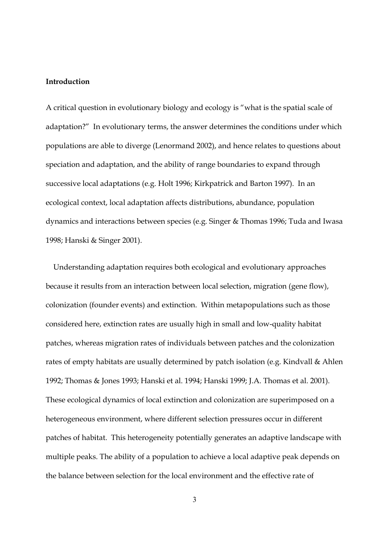#### Introduction

A critical question in evolutionary biology and ecology is "what is the spatial scale of adaptation?" In evolutionary terms, the answer determines the conditions under which populations are able to diverge (Lenormand 2002), and hence relates to questions about speciation and adaptation, and the ability of range boundaries to expand through successive local adaptations (e.g. Holt 1996; Kirkpatrick and Barton 1997). In an ecological context, local adaptation affects distributions, abundance, population dynamics and interactions between species (e.g. Singer & Thomas 1996; Tuda and Iwasa 1998; Hanski & Singer 2001).

 Understanding adaptation requires both ecological and evolutionary approaches because it results from an interaction between local selection, migration (gene flow), colonization (founder events) and extinction. Within metapopulations such as those considered here, extinction rates are usually high in small and low-quality habitat patches, whereas migration rates of individuals between patches and the colonization rates of empty habitats are usually determined by patch isolation (e.g. Kindvall & Ahlen 1992; Thomas & Jones 1993; Hanski et al. 1994; Hanski 1999; J.A. Thomas et al. 2001). These ecological dynamics of local extinction and colonization are superimposed on a heterogeneous environment, where different selection pressures occur in different patches of habitat. This heterogeneity potentially generates an adaptive landscape with multiple peaks. The ability of a population to achieve a local adaptive peak depends on the balance between selection for the local environment and the effective rate of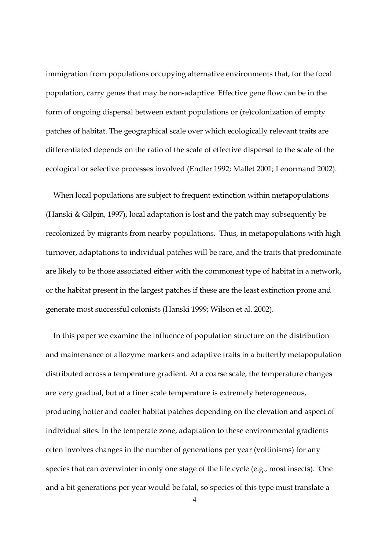immigration from populations occupying alternative environments that, for the focal population, carry genes that may be non-adaptive. Effective gene flow can be in the form of ongoing dispersal between extant populations or (re)colonization of empty patches of habitat. The geographical scale over which ecologically relevant traits are differentiated depends on the ratio of the scale of effective dispersal to the scale of the ecological or selective processes involved (Endler 1992; Mallet 2001; Lenormand 2002).

 When local populations are subject to frequent extinction within metapopulations (Hanski & Gilpin, 1997), local adaptation is lost and the patch may subsequently be recolonized by migrants from nearby populations. Thus, in metapopulations with high turnover, adaptations to individual patches will be rare, and the traits that predominate are likely to be those associated either with the commonest type of habitat in a network, or the habitat present in the largest patches if these are the least extinction prone and generate most successful colonists (Hanski 1999; Wilson et al. 2002).

 In this paper we examine the influence of population structure on the distribution and maintenance of allozyme markers and adaptive traits in a butterfly metapopulation distributed across a temperature gradient. At a coarse scale, the temperature changes are very gradual, but at a finer scale temperature is extremely heterogeneous, producing hotter and cooler habitat patches depending on the elevation and aspect of individual sites. In the temperate zone, adaptation to these environmental gradients often involves changes in the number of generations per year (voltinisms) for any species that can overwinter in only one stage of the life cycle (e.g., most insects). One and a bit generations per year would be fatal, so species of this type must translate a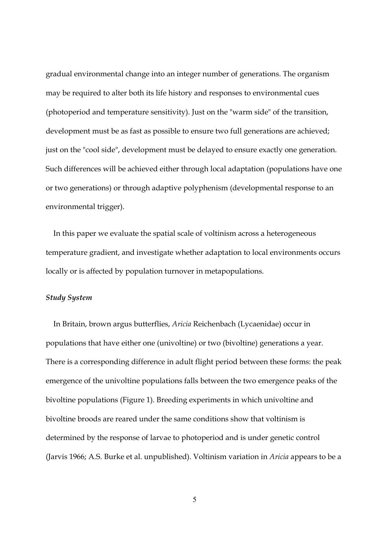gradual environmental change into an integer number of generations. The organism may be required to alter both its life history and responses to environmental cues (photoperiod and temperature sensitivity). Just on the "warm side" of the transition, development must be as fast as possible to ensure two full generations are achieved; just on the "cool side", development must be delayed to ensure exactly one generation. Such differences will be achieved either through local adaptation (populations have one or two generations) or through adaptive polyphenism (developmental response to an environmental trigger).

 In this paper we evaluate the spatial scale of voltinism across a heterogeneous temperature gradient, and investigate whether adaptation to local environments occurs locally or is affected by population turnover in metapopulations.

#### Study System

 In Britain, brown argus butterflies, Aricia Reichenbach (Lycaenidae) occur in populations that have either one (univoltine) or two (bivoltine) generations a year. There is a corresponding difference in adult flight period between these forms: the peak emergence of the univoltine populations falls between the two emergence peaks of the bivoltine populations (Figure 1). Breeding experiments in which univoltine and bivoltine broods are reared under the same conditions show that voltinism is determined by the response of larvae to photoperiod and is under genetic control (Jarvis 1966; A.S. Burke et al. unpublished). Voltinism variation in Aricia appears to be a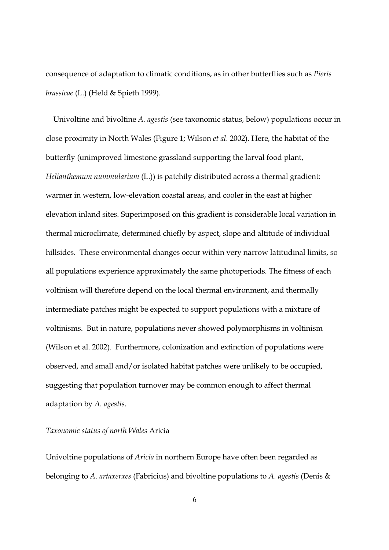consequence of adaptation to climatic conditions, as in other butterflies such as Pieris brassicae (L.) (Held & Spieth 1999).

 Univoltine and bivoltine A. agestis (see taxonomic status, below) populations occur in close proximity in North Wales (Figure 1; Wilson et al. 2002). Here, the habitat of the butterfly (unimproved limestone grassland supporting the larval food plant, Helianthemum nummularium (L.)) is patchily distributed across a thermal gradient: warmer in western, low-elevation coastal areas, and cooler in the east at higher elevation inland sites. Superimposed on this gradient is considerable local variation in thermal microclimate, determined chiefly by aspect, slope and altitude of individual hillsides. These environmental changes occur within very narrow latitudinal limits, so all populations experience approximately the same photoperiods. The fitness of each voltinism will therefore depend on the local thermal environment, and thermally intermediate patches might be expected to support populations with a mixture of voltinisms. But in nature, populations never showed polymorphisms in voltinism (Wilson et al. 2002). Furthermore, colonization and extinction of populations were observed, and small and/or isolated habitat patches were unlikely to be occupied, suggesting that population turnover may be common enough to affect thermal adaptation by A. agestis.

#### Taxonomic status of north Wales Aricia

Univoltine populations of Aricia in northern Europe have often been regarded as belonging to A. artaxerxes (Fabricius) and bivoltine populations to A. agestis (Denis &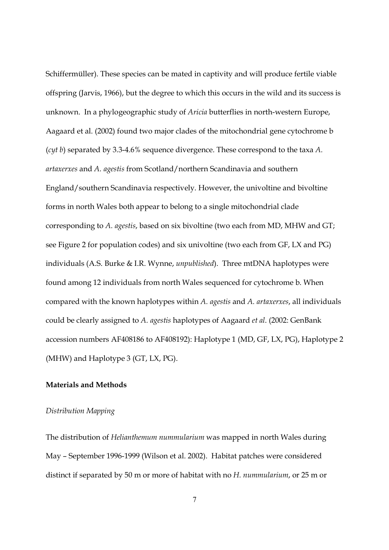Schiffermüller). These species can be mated in captivity and will produce fertile viable offspring (Jarvis, 1966), but the degree to which this occurs in the wild and its success is unknown. In a phylogeographic study of Aricia butterflies in north-western Europe, Aagaard et al. (2002) found two major clades of the mitochondrial gene cytochrome b (cyt b) separated by 3.3-4.6% sequence divergence. These correspond to the taxa A. artaxerxes and A. agestis from Scotland/northern Scandinavia and southern England/southern Scandinavia respectively. However, the univoltine and bivoltine forms in north Wales both appear to belong to a single mitochondrial clade corresponding to A. agestis, based on six bivoltine (two each from MD, MHW and GT; see Figure 2 for population codes) and six univoltine (two each from GF, LX and PG) individuals (A.S. Burke & I.R. Wynne, unpublished). Three mtDNA haplotypes were found among 12 individuals from north Wales sequenced for cytochrome b. When compared with the known haplotypes within A. agestis and A. artaxerxes, all individuals could be clearly assigned to A. agestis haplotypes of Aagaard et al. (2002: GenBank accession numbers AF408186 to AF408192): Haplotype 1 (MD, GF, LX, PG), Haplotype 2 (MHW) and Haplotype 3 (GT, LX, PG).

## Materials and Methods

#### Distribution Mapping

The distribution of Helianthemum nummularium was mapped in north Wales during May – September 1996-1999 (Wilson et al. 2002). Habitat patches were considered distinct if separated by 50 m or more of habitat with no H. nummularium, or 25 m or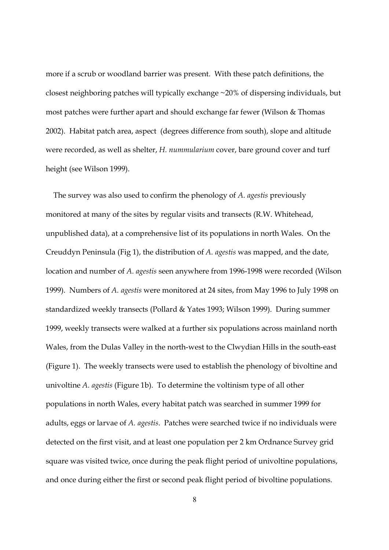more if a scrub or woodland barrier was present. With these patch definitions, the closest neighboring patches will typically exchange ~20% of dispersing individuals, but most patches were further apart and should exchange far fewer (Wilson & Thomas 2002). Habitat patch area, aspect (degrees difference from south), slope and altitude were recorded, as well as shelter, H. nummularium cover, bare ground cover and turf height (see Wilson 1999).

 The survey was also used to confirm the phenology of A. agestis previously monitored at many of the sites by regular visits and transects (R.W. Whitehead, unpublished data), at a comprehensive list of its populations in north Wales. On the Creuddyn Peninsula (Fig 1), the distribution of A. agestis was mapped, and the date, location and number of A. agestis seen anywhere from 1996-1998 were recorded (Wilson 1999). Numbers of A. agestis were monitored at 24 sites, from May 1996 to July 1998 on standardized weekly transects (Pollard & Yates 1993; Wilson 1999). During summer 1999, weekly transects were walked at a further six populations across mainland north Wales, from the Dulas Valley in the north-west to the Clwydian Hills in the south-east (Figure 1). The weekly transects were used to establish the phenology of bivoltine and univoltine A. agestis (Figure 1b). To determine the voltinism type of all other populations in north Wales, every habitat patch was searched in summer 1999 for adults, eggs or larvae of A. agestis. Patches were searched twice if no individuals were detected on the first visit, and at least one population per 2 km Ordnance Survey grid square was visited twice, once during the peak flight period of univoltine populations, and once during either the first or second peak flight period of bivoltine populations.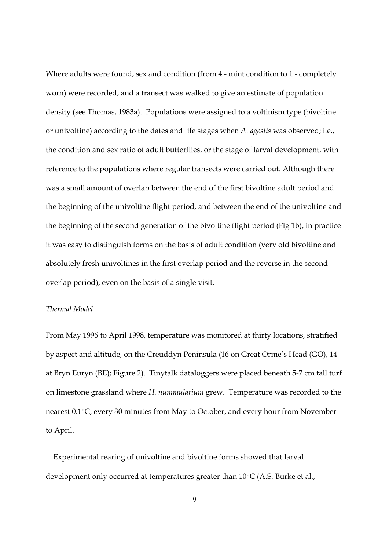Where adults were found, sex and condition (from 4 - mint condition to 1 - completely worn) were recorded, and a transect was walked to give an estimate of population density (see Thomas, 1983a). Populations were assigned to a voltinism type (bivoltine or univoltine) according to the dates and life stages when A. agestis was observed; i.e., the condition and sex ratio of adult butterflies, or the stage of larval development, with reference to the populations where regular transects were carried out. Although there was a small amount of overlap between the end of the first bivoltine adult period and the beginning of the univoltine flight period, and between the end of the univoltine and the beginning of the second generation of the bivoltine flight period (Fig 1b), in practice it was easy to distinguish forms on the basis of adult condition (very old bivoltine and absolutely fresh univoltines in the first overlap period and the reverse in the second overlap period), even on the basis of a single visit.

#### Thermal Model

From May 1996 to April 1998, temperature was monitored at thirty locations, stratified by aspect and altitude, on the Creuddyn Peninsula (16 on Great Orme's Head (GO), 14 at Bryn Euryn (BE); Figure 2). Tinytalk dataloggers were placed beneath 5-7 cm tall turf on limestone grassland where H. nummularium grew. Temperature was recorded to the nearest 0.1°C, every 30 minutes from May to October, and every hour from November to April.

 Experimental rearing of univoltine and bivoltine forms showed that larval development only occurred at temperatures greater than 10°C (A.S. Burke et al.,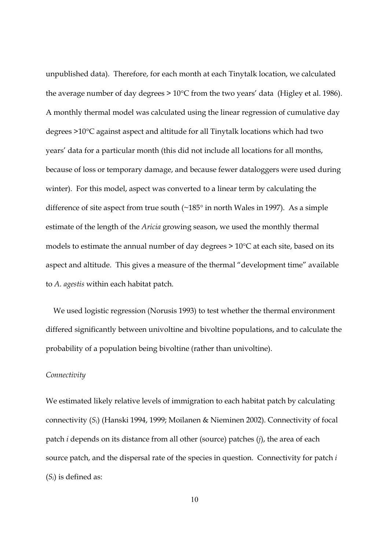unpublished data). Therefore, for each month at each Tinytalk location, we calculated the average number of day degrees  $> 10^{\circ}$ C from the two years' data (Higley et al. 1986). A monthly thermal model was calculated using the linear regression of cumulative day degrees >10°C against aspect and altitude for all Tinytalk locations which had two years' data for a particular month (this did not include all locations for all months, because of loss or temporary damage, and because fewer dataloggers were used during winter). For this model, aspect was converted to a linear term by calculating the difference of site aspect from true south (~185° in north Wales in 1997). As a simple estimate of the length of the Aricia growing season, we used the monthly thermal models to estimate the annual number of day degrees > 10°C at each site, based on its aspect and altitude. This gives a measure of the thermal "development time" available to A. agestis within each habitat patch.

 We used logistic regression (Norusis 1993) to test whether the thermal environment differed significantly between univoltine and bivoltine populations, and to calculate the probability of a population being bivoltine (rather than univoltine).

### **Connectivity**

We estimated likely relative levels of immigration to each habitat patch by calculating connectivity (Si) (Hanski 1994, 1999; Moilanen & Nieminen 2002). Connectivity of focal patch *i* depends on its distance from all other (source) patches (*j*), the area of each source patch, and the dispersal rate of the species in question. Connectivity for patch i  $(S_i)$  is defined as: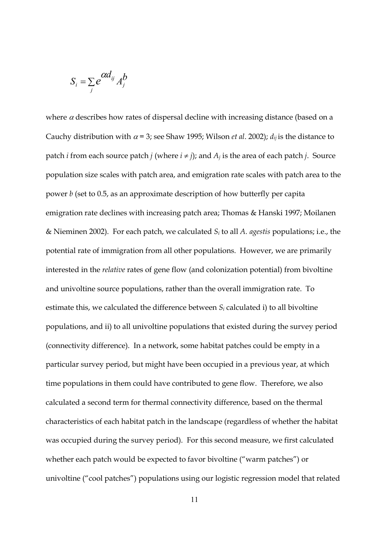$$
S_i = \sum_j e^{\alpha d_{ij}} A_j^b
$$

where  $\alpha$  describes how rates of dispersal decline with increasing distance (based on a Cauchy distribution with  $\alpha$  = 3; see Shaw 1995; Wilson *et al.* 2002);  $d_{ij}$  is the distance to patch *i* from each source patch *j* (where  $i \neq j$ ); and  $A_j$  is the area of each patch *j*. Source population size scales with patch area, and emigration rate scales with patch area to the power b (set to 0.5, as an approximate description of how butterfly per capita emigration rate declines with increasing patch area; Thomas & Hanski 1997; Moilanen & Nieminen 2002). For each patch, we calculated  $S_i$  to all A. agestis populations; i.e., the potential rate of immigration from all other populations. However, we are primarily interested in the relative rates of gene flow (and colonization potential) from bivoltine and univoltine source populations, rather than the overall immigration rate. To estimate this, we calculated the difference between  $S_i$  calculated i) to all bivoltine populations, and ii) to all univoltine populations that existed during the survey period (connectivity difference). In a network, some habitat patches could be empty in a particular survey period, but might have been occupied in a previous year, at which time populations in them could have contributed to gene flow. Therefore, we also calculated a second term for thermal connectivity difference, based on the thermal characteristics of each habitat patch in the landscape (regardless of whether the habitat was occupied during the survey period). For this second measure, we first calculated whether each patch would be expected to favor bivoltine ("warm patches") or univoltine ("cool patches") populations using our logistic regression model that related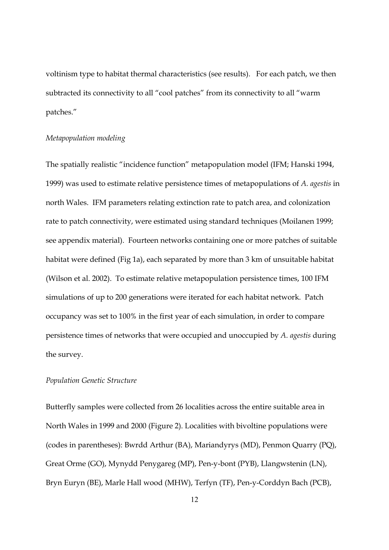voltinism type to habitat thermal characteristics (see results). For each patch, we then subtracted its connectivity to all "cool patches" from its connectivity to all "warm patches."

#### Metapopulation modeling

The spatially realistic "incidence function" metapopulation model (IFM; Hanski 1994, 1999) was used to estimate relative persistence times of metapopulations of A. agestis in north Wales. IFM parameters relating extinction rate to patch area, and colonization rate to patch connectivity, were estimated using standard techniques (Moilanen 1999; see appendix material). Fourteen networks containing one or more patches of suitable habitat were defined (Fig 1a), each separated by more than 3 km of unsuitable habitat (Wilson et al. 2002). To estimate relative metapopulation persistence times, 100 IFM simulations of up to 200 generations were iterated for each habitat network. Patch occupancy was set to 100% in the first year of each simulation, in order to compare persistence times of networks that were occupied and unoccupied by A. agestis during the survey.

## Population Genetic Structure

Butterfly samples were collected from 26 localities across the entire suitable area in North Wales in 1999 and 2000 (Figure 2). Localities with bivoltine populations were (codes in parentheses): Bwrdd Arthur (BA), Mariandyrys (MD), Penmon Quarry (PQ), Great Orme (GO), Mynydd Penygareg (MP), Pen-y-bont (PYB), Llangwstenin (LN), Bryn Euryn (BE), Marle Hall wood (MHW), Terfyn (TF), Pen-y-Corddyn Bach (PCB),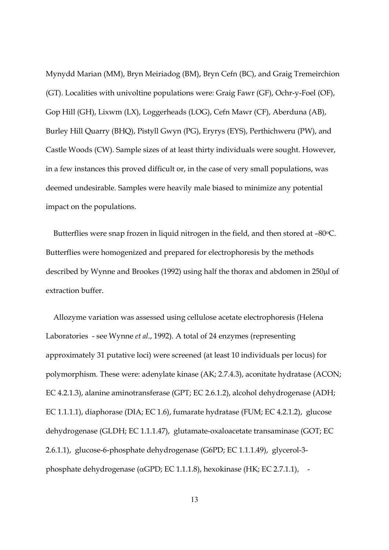Mynydd Marian (MM), Bryn Meiriadog (BM), Bryn Cefn (BC), and Graig Tremeirchion (GT). Localities with univoltine populations were: Graig Fawr (GF), Ochr-y-Foel (OF), Gop Hill (GH), Lixwm (LX), Loggerheads (LOG), Cefn Mawr (CF), Aberduna (AB), Burley Hill Quarry (BHQ), Pistyll Gwyn (PG), Eryrys (EYS), Perthichweru (PW), and Castle Woods (CW). Sample sizes of at least thirty individuals were sought. However, in a few instances this proved difficult or, in the case of very small populations, was deemed undesirable. Samples were heavily male biased to minimize any potential impact on the populations.

Butterflies were snap frozen in liquid nitrogen in the field, and then stored at -80°C. Butterflies were homogenized and prepared for electrophoresis by the methods described by Wynne and Brookes (1992) using half the thorax and abdomen in 250µl of extraction buffer.

 Allozyme variation was assessed using cellulose acetate electrophoresis (Helena Laboratories - see Wynne et al., 1992). A total of 24 enzymes (representing approximately 31 putative loci) were screened (at least 10 individuals per locus) for polymorphism. These were: adenylate kinase (AK; 2.7.4.3), aconitate hydratase (ACON; EC 4.2.1.3), alanine aminotransferase (GPT; EC 2.6.1.2), alcohol dehydrogenase (ADH; EC 1.1.1.1), diaphorase (DIA; EC 1.6), fumarate hydratase (FUM; EC 4.2.1.2), glucose dehydrogenase (GLDH; EC 1.1.1.47), glutamate-oxaloacetate transaminase (GOT; EC 2.6.1.1), glucose-6-phosphate dehydrogenase (G6PD; EC 1.1.1.49), glycerol-3 phosphate dehydrogenase ( $\alpha$ GPD; EC 1.1.1.8), hexokinase (HK; EC 2.7.1.1), -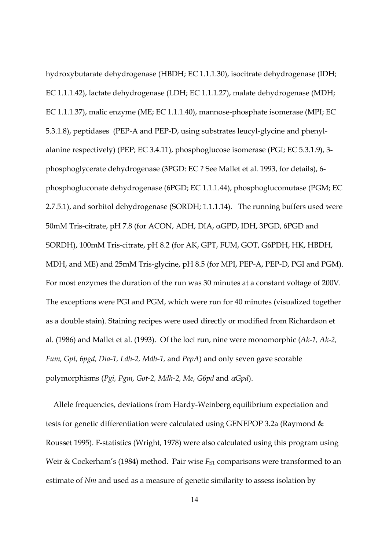hydroxybutarate dehydrogenase (HBDH; EC 1.1.1.30), isocitrate dehydrogenase (IDH; EC 1.1.1.42), lactate dehydrogenase (LDH; EC 1.1.1.27), malate dehydrogenase (MDH; EC 1.1.1.37), malic enzyme (ME; EC 1.1.1.40), mannose-phosphate isomerase (MPI; EC 5.3.1.8), peptidases (PEP-A and PEP-D, using substrates leucyl-glycine and phenylalanine respectively) (PEP; EC 3.4.11), phosphoglucose isomerase (PGI; EC 5.3.1.9), 3 phosphoglycerate dehydrogenase (3PGD: EC ? See Mallet et al. 1993, for details), 6 phosphogluconate dehydrogenase (6PGD; EC 1.1.1.44), phosphoglucomutase (PGM; EC 2.7.5.1), and sorbitol dehydrogenase (SORDH; 1.1.1.14). The running buffers used were 50mM Tris-citrate, pH 7.8 (for ACON, ADH, DIA, αGPD, IDH, 3PGD, 6PGD and SORDH), 100mM Tris-citrate, pH 8.2 (for AK, GPT, FUM, GOT, G6PDH, HK, HBDH, MDH, and ME) and 25mM Tris-glycine, pH 8.5 (for MPI, PEP-A, PEP-D, PGI and PGM). For most enzymes the duration of the run was 30 minutes at a constant voltage of 200V. The exceptions were PGI and PGM, which were run for 40 minutes (visualized together as a double stain). Staining recipes were used directly or modified from Richardson et al. (1986) and Mallet et al. (1993). Of the loci run, nine were monomorphic (Ak-1, Ak-2, Fum, Gpt, 6pgd, Dia-1, Ldh-2, Mdh-1, and PepA) and only seven gave scorable polymorphisms (Pgi, Pgm, Got-2, Mdh-2, Me, G6pd and αGpd).

 Allele frequencies, deviations from Hardy-Weinberg equilibrium expectation and tests for genetic differentiation were calculated using GENEPOP 3.2a (Raymond & Rousset 1995). F-statistics (Wright, 1978) were also calculated using this program using Weir & Cockerham's (1984) method. Pair wise  $F_{ST}$  comparisons were transformed to an estimate of Nm and used as a measure of genetic similarity to assess isolation by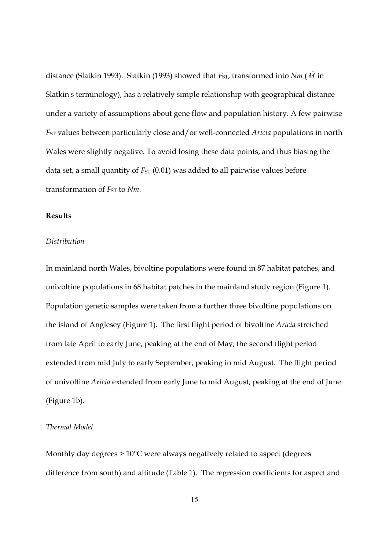distance (Slatkin 1993). Slatkin (1993) showed that  $F_{ST}$ , transformed into  $Nm$  ( $\hat{M}$  in Slatkin's terminology), has a relatively simple relationship with geographical distance under a variety of assumptions about gene flow and population history. A few pairwise F<sub>ST</sub> values between particularly close and/or well-connected *Aricia* populations in north Wales were slightly negative. To avoid losing these data points, and thus biasing the data set, a small quantity of  $F_{ST}$  (0.01) was added to all pairwise values before transformation of  $FST$  to  $Nm$ .

#### Results

## **Distribution**

In mainland north Wales, bivoltine populations were found in 87 habitat patches, and univoltine populations in 68 habitat patches in the mainland study region (Figure 1). Population genetic samples were taken from a further three bivoltine populations on the island of Anglesey (Figure 1). The first flight period of bivoltine Aricia stretched from late April to early June, peaking at the end of May; the second flight period extended from mid July to early September, peaking in mid August. The flight period of univoltine Aricia extended from early June to mid August, peaking at the end of June (Figure 1b).

## Thermal Model

Monthly day degrees > 10°C were always negatively related to aspect (degrees difference from south) and altitude (Table 1). The regression coefficients for aspect and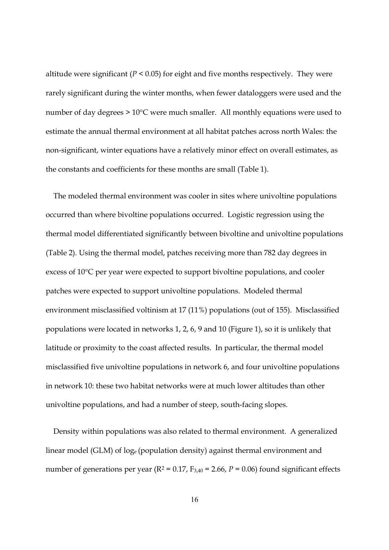altitude were significant ( $P < 0.05$ ) for eight and five months respectively. They were rarely significant during the winter months, when fewer dataloggers were used and the number of day degrees > 10°C were much smaller. All monthly equations were used to estimate the annual thermal environment at all habitat patches across north Wales: the non-significant, winter equations have a relatively minor effect on overall estimates, as the constants and coefficients for these months are small (Table 1).

 The modeled thermal environment was cooler in sites where univoltine populations occurred than where bivoltine populations occurred. Logistic regression using the thermal model differentiated significantly between bivoltine and univoltine populations (Table 2). Using the thermal model, patches receiving more than 782 day degrees in excess of 10°C per year were expected to support bivoltine populations, and cooler patches were expected to support univoltine populations. Modeled thermal environment misclassified voltinism at 17 (11%) populations (out of 155). Misclassified populations were located in networks 1, 2, 6, 9 and 10 (Figure 1), so it is unlikely that latitude or proximity to the coast affected results. In particular, the thermal model misclassified five univoltine populations in network 6, and four univoltine populations in network 10: these two habitat networks were at much lower altitudes than other univoltine populations, and had a number of steep, south-facing slopes.

 Density within populations was also related to thermal environment. A generalized linear model (GLM) of loge (population density) against thermal environment and number of generations per year ( $R^2$  = 0.17,  $F_{3,40}$  = 2.66,  $P$  = 0.06) found significant effects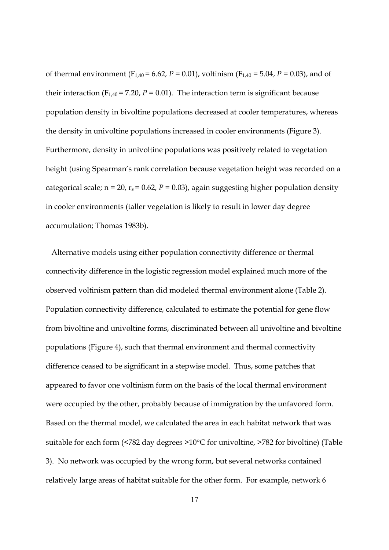of thermal environment (F<sub>1,40</sub> = 6.62, P = 0.01), voltinism (F<sub>1,40</sub> = 5.04, P = 0.03), and of their interaction ( $F_{1,40} = 7.20$ ,  $P = 0.01$ ). The interaction term is significant because population density in bivoltine populations decreased at cooler temperatures, whereas the density in univoltine populations increased in cooler environments (Figure 3). Furthermore, density in univoltine populations was positively related to vegetation height (using Spearman's rank correlation because vegetation height was recorded on a categorical scale;  $n = 20$ ,  $r_s = 0.62$ ,  $P = 0.03$ ), again suggesting higher population density in cooler environments (taller vegetation is likely to result in lower day degree accumulation; Thomas 1983b).

 Alternative models using either population connectivity difference or thermal connectivity difference in the logistic regression model explained much more of the observed voltinism pattern than did modeled thermal environment alone (Table 2). Population connectivity difference, calculated to estimate the potential for gene flow from bivoltine and univoltine forms, discriminated between all univoltine and bivoltine populations (Figure 4), such that thermal environment and thermal connectivity difference ceased to be significant in a stepwise model. Thus, some patches that appeared to favor one voltinism form on the basis of the local thermal environment were occupied by the other, probably because of immigration by the unfavored form. Based on the thermal model, we calculated the area in each habitat network that was suitable for each form (<782 day degrees >10°C for univoltine, >782 for bivoltine) (Table 3). No network was occupied by the wrong form, but several networks contained relatively large areas of habitat suitable for the other form. For example, network 6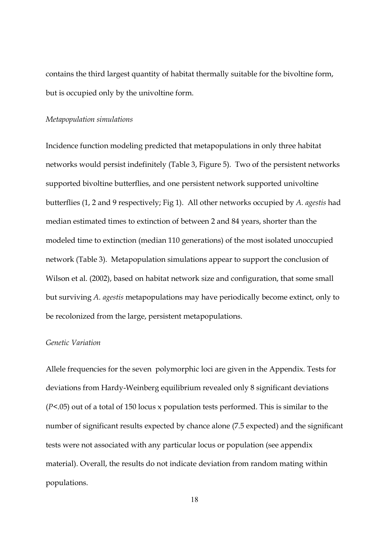contains the third largest quantity of habitat thermally suitable for the bivoltine form, but is occupied only by the univoltine form.

#### Metapopulation simulations

Incidence function modeling predicted that metapopulations in only three habitat networks would persist indefinitely (Table 3, Figure 5). Two of the persistent networks supported bivoltine butterflies, and one persistent network supported univoltine butterflies (1, 2 and 9 respectively; Fig 1). All other networks occupied by A. agestis had median estimated times to extinction of between 2 and 84 years, shorter than the modeled time to extinction (median 110 generations) of the most isolated unoccupied network (Table 3). Metapopulation simulations appear to support the conclusion of Wilson et al. (2002), based on habitat network size and configuration, that some small but surviving A. agestis metapopulations may have periodically become extinct, only to be recolonized from the large, persistent metapopulations.

## Genetic Variation

Allele frequencies for the seven polymorphic loci are given in the Appendix. Tests for deviations from Hardy-Weinberg equilibrium revealed only 8 significant deviations  $(P<.05)$  out of a total of 150 locus x population tests performed. This is similar to the number of significant results expected by chance alone (7.5 expected) and the significant tests were not associated with any particular locus or population (see appendix material). Overall, the results do not indicate deviation from random mating within populations.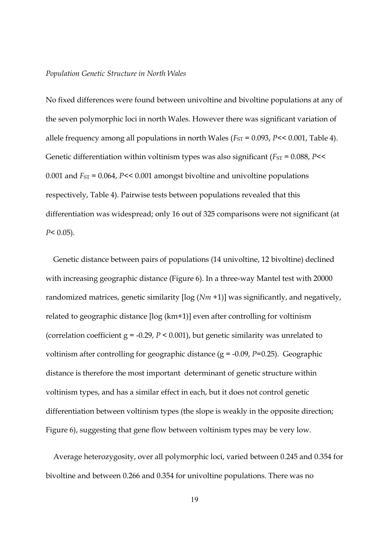#### Population Genetic Structure in North Wales

No fixed differences were found between univoltine and bivoltine populations at any of the seven polymorphic loci in north Wales. However there was significant variation of allele frequency among all populations in north Wales ( $F_{ST}$  = 0.093,  $P$  < 0.001, Table 4). Genetic differentiation within voltinism types was also significant ( $F_{ST}$  = 0.088,  $P$ << 0.001 and  $F_{ST}$  = 0.064, P << 0.001 amongst bivoltine and univoltine populations respectively, Table 4). Pairwise tests between populations revealed that this differentiation was widespread; only 16 out of 325 comparisons were not significant (at  $P < 0.05$ ).

 Genetic distance between pairs of populations (14 univoltine, 12 bivoltine) declined with increasing geographic distance (Figure 6). In a three-way Mantel test with 20000 randomized matrices, genetic similarity  $\lceil \log(Nm + 1) \rceil$  was significantly, and negatively, related to geographic distance [log (km+1)] even after controlling for voltinism (correlation coefficient  $g = -0.29$ ,  $P \le 0.001$ ), but genetic similarity was unrelated to voltinism after controlling for geographic distance  $(g = -0.09, P = 0.25)$ . Geographic distance is therefore the most important determinant of genetic structure within voltinism types, and has a similar effect in each, but it does not control genetic differentiation between voltinism types (the slope is weakly in the opposite direction; Figure 6), suggesting that gene flow between voltinism types may be very low.

 Average heterozygosity, over all polymorphic loci, varied between 0.245 and 0.354 for bivoltine and between 0.266 and 0.354 for univoltine populations. There was no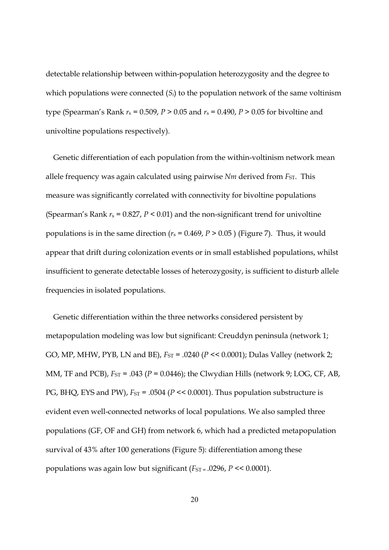detectable relationship between within-population heterozygosity and the degree to which populations were connected  $(S_i)$  to the population network of the same voltinism type (Spearman's Rank  $r_s = 0.509$ ,  $P > 0.05$  and  $r_s = 0.490$ ,  $P > 0.05$  for bivoltine and univoltine populations respectively).

 Genetic differentiation of each population from the within-voltinism network mean allele frequency was again calculated using pairwise  $Nm$  derived from  $FSTST}$ . This measure was significantly correlated with connectivity for bivoltine populations (Spearman's Rank  $r_s = 0.827$ ,  $P < 0.01$ ) and the non-significant trend for univoltine populations is in the same direction ( $r_s$  = 0.469, P > 0.05) (Figure 7). Thus, it would appear that drift during colonization events or in small established populations, whilst insufficient to generate detectable losses of heterozygosity, is sufficient to disturb allele frequencies in isolated populations.

 Genetic differentiation within the three networks considered persistent by metapopulation modeling was low but significant: Creuddyn peninsula (network 1; GO, MP, MHW, PYB, LN and BE),  $F_{ST} = .0240$  ( $P \ll 0.0001$ ); Dulas Valley (network 2; MM, TF and PCB),  $F_{ST}$  = .043 ( $P = 0.0446$ ); the Clwydian Hills (network 9; LOG, CF, AB, PG, BHQ, EYS and PW),  $F_{ST}$  = .0504 ( $P \ll 0.0001$ ). Thus population substructure is evident even well-connected networks of local populations. We also sampled three populations (GF, OF and GH) from network 6, which had a predicted metapopulation survival of 43% after 100 generations (Figure 5): differentiation among these populations was again low but significant  $(F_{ST} = .0296, P \le 0.0001)$ .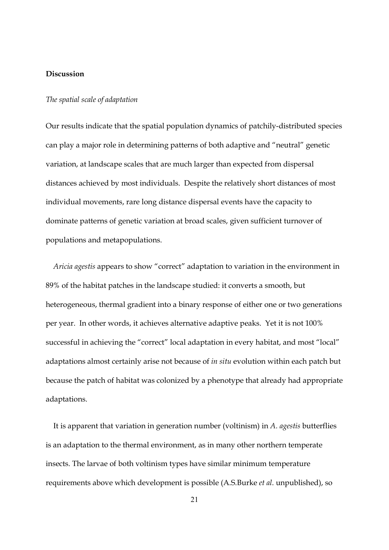## Discussion

## The spatial scale of adaptation

Our results indicate that the spatial population dynamics of patchily-distributed species can play a major role in determining patterns of both adaptive and "neutral" genetic variation, at landscape scales that are much larger than expected from dispersal distances achieved by most individuals. Despite the relatively short distances of most individual movements, rare long distance dispersal events have the capacity to dominate patterns of genetic variation at broad scales, given sufficient turnover of populations and metapopulations.

 Aricia agestis appears to show "correct" adaptation to variation in the environment in 89% of the habitat patches in the landscape studied: it converts a smooth, but heterogeneous, thermal gradient into a binary response of either one or two generations per year. In other words, it achieves alternative adaptive peaks. Yet it is not 100% successful in achieving the "correct" local adaptation in every habitat, and most "local" adaptations almost certainly arise not because of in situ evolution within each patch but because the patch of habitat was colonized by a phenotype that already had appropriate adaptations.

 It is apparent that variation in generation number (voltinism) in A. agestis butterflies is an adaptation to the thermal environment, as in many other northern temperate insects. The larvae of both voltinism types have similar minimum temperature requirements above which development is possible (A.S.Burke et al. unpublished), so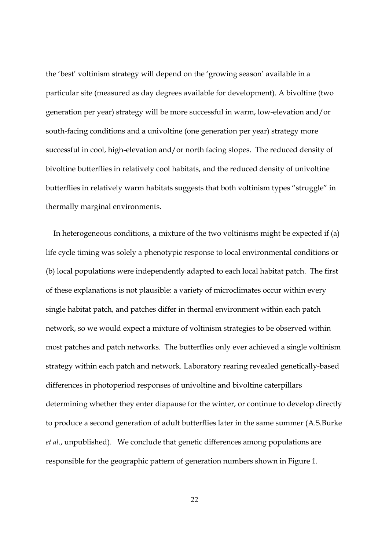the 'best' voltinism strategy will depend on the 'growing season' available in a particular site (measured as day degrees available for development). A bivoltine (two generation per year) strategy will be more successful in warm, low-elevation and/or south-facing conditions and a univoltine (one generation per year) strategy more successful in cool, high-elevation and/or north facing slopes. The reduced density of bivoltine butterflies in relatively cool habitats, and the reduced density of univoltine butterflies in relatively warm habitats suggests that both voltinism types "struggle" in thermally marginal environments.

 In heterogeneous conditions, a mixture of the two voltinisms might be expected if (a) life cycle timing was solely a phenotypic response to local environmental conditions or (b) local populations were independently adapted to each local habitat patch. The first of these explanations is not plausible: a variety of microclimates occur within every single habitat patch, and patches differ in thermal environment within each patch network, so we would expect a mixture of voltinism strategies to be observed within most patches and patch networks. The butterflies only ever achieved a single voltinism strategy within each patch and network. Laboratory rearing revealed genetically-based differences in photoperiod responses of univoltine and bivoltine caterpillars determining whether they enter diapause for the winter, or continue to develop directly to produce a second generation of adult butterflies later in the same summer (A.S.Burke et al., unpublished). We conclude that genetic differences among populations are responsible for the geographic pattern of generation numbers shown in Figure 1.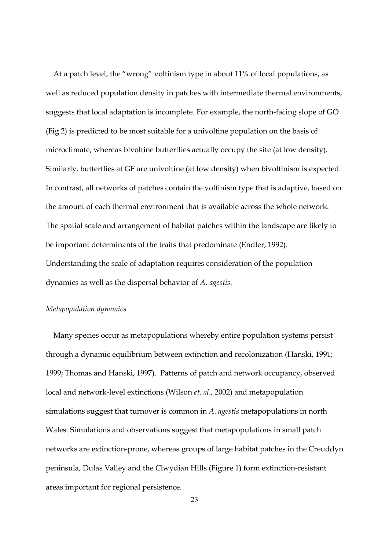At a patch level, the "wrong" voltinism type in about 11% of local populations, as well as reduced population density in patches with intermediate thermal environments, suggests that local adaptation is incomplete. For example, the north-facing slope of GO (Fig 2) is predicted to be most suitable for a univoltine population on the basis of microclimate, whereas bivoltine butterflies actually occupy the site (at low density). Similarly, butterflies at GF are univoltine (at low density) when bivoltinism is expected. In contrast, all networks of patches contain the voltinism type that is adaptive, based on the amount of each thermal environment that is available across the whole network. The spatial scale and arrangement of habitat patches within the landscape are likely to be important determinants of the traits that predominate (Endler, 1992). Understanding the scale of adaptation requires consideration of the population dynamics as well as the dispersal behavior of A. agestis.

#### Metapopulation dynamics

 Many species occur as metapopulations whereby entire population systems persist through a dynamic equilibrium between extinction and recolonization (Hanski, 1991; 1999; Thomas and Hanski, 1997). Patterns of patch and network occupancy, observed local and network-level extinctions (Wilson *et. al.*, 2002) and metapopulation simulations suggest that turnover is common in A. agestis metapopulations in north Wales. Simulations and observations suggest that metapopulations in small patch networks are extinction-prone, whereas groups of large habitat patches in the Creuddyn peninsula, Dulas Valley and the Clwydian Hills (Figure 1) form extinction-resistant areas important for regional persistence.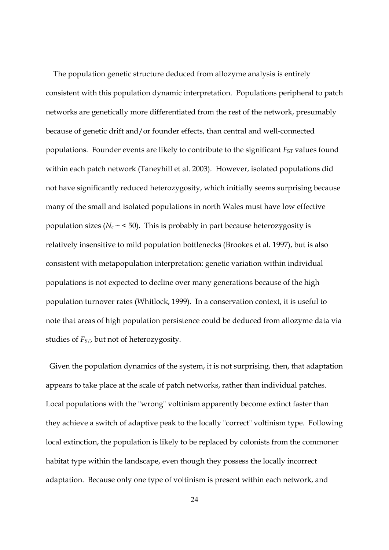The population genetic structure deduced from allozyme analysis is entirely consistent with this population dynamic interpretation. Populations peripheral to patch networks are genetically more differentiated from the rest of the network, presumably because of genetic drift and/or founder effects, than central and well-connected populations. Founder events are likely to contribute to the significant  $F_{ST}$  values found within each patch network (Taneyhill et al. 2003). However, isolated populations did not have significantly reduced heterozygosity, which initially seems surprising because many of the small and isolated populations in north Wales must have low effective population sizes ( $N_e \sim$  < 50). This is probably in part because heterozygosity is relatively insensitive to mild population bottlenecks (Brookes et al. 1997), but is also consistent with metapopulation interpretation: genetic variation within individual populations is not expected to decline over many generations because of the high population turnover rates (Whitlock, 1999). In a conservation context, it is useful to note that areas of high population persistence could be deduced from allozyme data via studies of  $F_{ST}$ , but not of heterozygosity.

 Given the population dynamics of the system, it is not surprising, then, that adaptation appears to take place at the scale of patch networks, rather than individual patches. Local populations with the "wrong" voltinism apparently become extinct faster than they achieve a switch of adaptive peak to the locally "correct" voltinism type. Following local extinction, the population is likely to be replaced by colonists from the commoner habitat type within the landscape, even though they possess the locally incorrect adaptation. Because only one type of voltinism is present within each network, and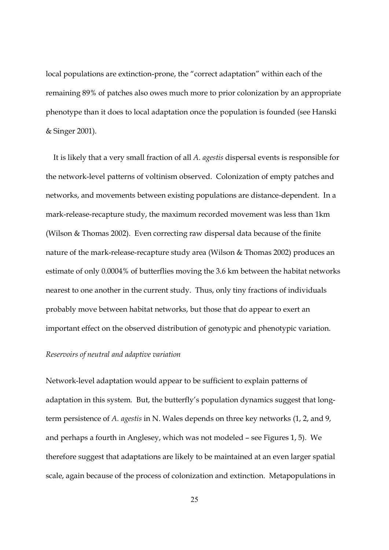local populations are extinction-prone, the "correct adaptation" within each of the remaining 89% of patches also owes much more to prior colonization by an appropriate phenotype than it does to local adaptation once the population is founded (see Hanski & Singer 2001).

 It is likely that a very small fraction of all A. agestis dispersal events is responsible for the network-level patterns of voltinism observed. Colonization of empty patches and networks, and movements between existing populations are distance-dependent. In a mark-release-recapture study, the maximum recorded movement was less than 1km (Wilson & Thomas 2002). Even correcting raw dispersal data because of the finite nature of the mark-release-recapture study area (Wilson & Thomas 2002) produces an estimate of only 0.0004% of butterflies moving the 3.6 km between the habitat networks nearest to one another in the current study. Thus, only tiny fractions of individuals probably move between habitat networks, but those that do appear to exert an important effect on the observed distribution of genotypic and phenotypic variation.

## Reservoirs of neutral and adaptive variation

Network-level adaptation would appear to be sufficient to explain patterns of adaptation in this system. But, the butterfly's population dynamics suggest that longterm persistence of A. agestis in N. Wales depends on three key networks (1, 2, and 9, and perhaps a fourth in Anglesey, which was not modeled – see Figures 1, 5). We therefore suggest that adaptations are likely to be maintained at an even larger spatial scale, again because of the process of colonization and extinction. Metapopulations in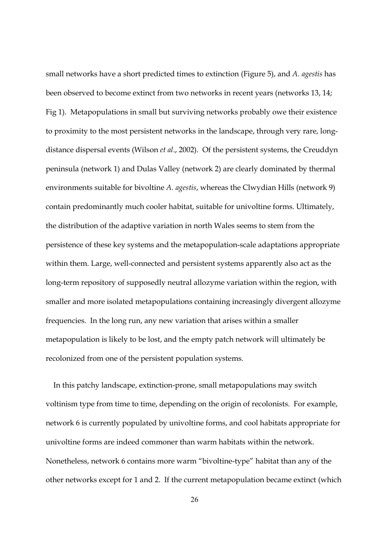small networks have a short predicted times to extinction (Figure 5), and A. agestis has been observed to become extinct from two networks in recent years (networks 13, 14; Fig 1). Metapopulations in small but surviving networks probably owe their existence to proximity to the most persistent networks in the landscape, through very rare, longdistance dispersal events (Wilson et al., 2002). Of the persistent systems, the Creuddyn peninsula (network 1) and Dulas Valley (network 2) are clearly dominated by thermal environments suitable for bivoltine A. agestis, whereas the Clwydian Hills (network 9) contain predominantly much cooler habitat, suitable for univoltine forms. Ultimately, the distribution of the adaptive variation in north Wales seems to stem from the persistence of these key systems and the metapopulation-scale adaptations appropriate within them. Large, well-connected and persistent systems apparently also act as the long-term repository of supposedly neutral allozyme variation within the region, with smaller and more isolated metapopulations containing increasingly divergent allozyme frequencies. In the long run, any new variation that arises within a smaller metapopulation is likely to be lost, and the empty patch network will ultimately be recolonized from one of the persistent population systems.

 In this patchy landscape, extinction-prone, small metapopulations may switch voltinism type from time to time, depending on the origin of recolonists. For example, network 6 is currently populated by univoltine forms, and cool habitats appropriate for univoltine forms are indeed commoner than warm habitats within the network. Nonetheless, network 6 contains more warm "bivoltine-type" habitat than any of the other networks except for 1 and 2. If the current metapopulation became extinct (which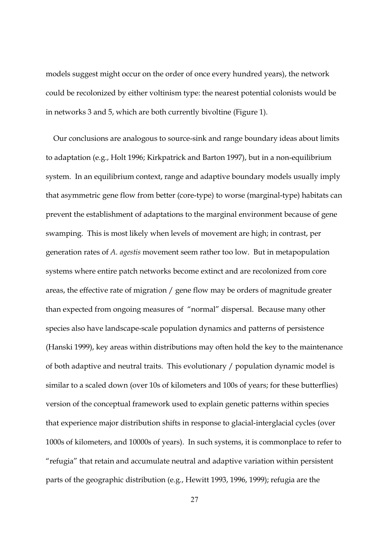models suggest might occur on the order of once every hundred years), the network could be recolonized by either voltinism type: the nearest potential colonists would be in networks 3 and 5, which are both currently bivoltine (Figure 1).

 Our conclusions are analogous to source-sink and range boundary ideas about limits to adaptation (e.g., Holt 1996; Kirkpatrick and Barton 1997), but in a non-equilibrium system. In an equilibrium context, range and adaptive boundary models usually imply that asymmetric gene flow from better (core-type) to worse (marginal-type) habitats can prevent the establishment of adaptations to the marginal environment because of gene swamping. This is most likely when levels of movement are high; in contrast, per generation rates of A. agestis movement seem rather too low. But in metapopulation systems where entire patch networks become extinct and are recolonized from core areas, the effective rate of migration / gene flow may be orders of magnitude greater than expected from ongoing measures of "normal" dispersal. Because many other species also have landscape-scale population dynamics and patterns of persistence (Hanski 1999), key areas within distributions may often hold the key to the maintenance of both adaptive and neutral traits. This evolutionary / population dynamic model is similar to a scaled down (over 10s of kilometers and 100s of years; for these butterflies) version of the conceptual framework used to explain genetic patterns within species that experience major distribution shifts in response to glacial-interglacial cycles (over 1000s of kilometers, and 10000s of years). In such systems, it is commonplace to refer to "refugia" that retain and accumulate neutral and adaptive variation within persistent parts of the geographic distribution (e.g., Hewitt 1993, 1996, 1999); refugia are the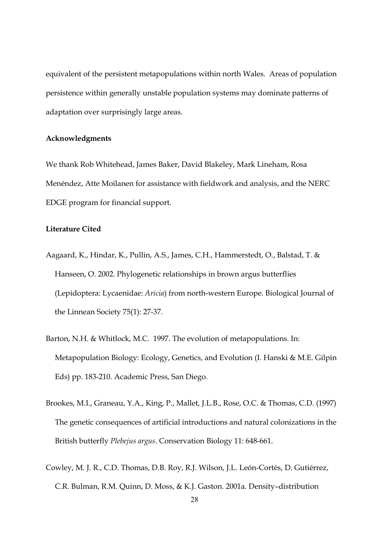equivalent of the persistent metapopulations within north Wales. Areas of population persistence within generally unstable population systems may dominate patterns of adaptation over surprisingly large areas.

#### Acknowledgments

We thank Rob Whitehead, James Baker, David Blakeley, Mark Lineham, Rosa Menéndez, Atte Moilanen for assistance with fieldwork and analysis, and the NERC EDGE program for financial support.

## Literature Cited

- Aagaard, K., Hindar, K., Pullin, A.S., James, C.H., Hammerstedt, O., Balstad, T. & Hanseen, O. 2002. Phylogenetic relationships in brown argus butterflies (Lepidoptera: Lycaenidae: Aricia) from north-western Europe. Biological Journal of the Linnean Society 75(1): 27-37.
- Barton, N.H. & Whitlock, M.C. 1997. The evolution of metapopulations. In: Metapopulation Biology: Ecology, Genetics, and Evolution (I. Hanski & M.E. Gilpin Eds) pp. 183-210. Academic Press, San Diego.
- Brookes, M.I., Graneau, Y.A., King, P., Mallet, J.L.B., Rose, O.C. & Thomas, C.D. (1997) The genetic consequences of artificial introductions and natural colonizations in the British butterfly Plebejus argus. Conservation Biology 11: 648-661.
- Cowley, M. J. R., C.D. Thomas, D.B. Roy, R.J. Wilson, J.L. León-Cortés, D. Gutiérrez, C.R. Bulman, R.M. Quinn, D. Moss, & K.J. Gaston. 2001a. Density–distribution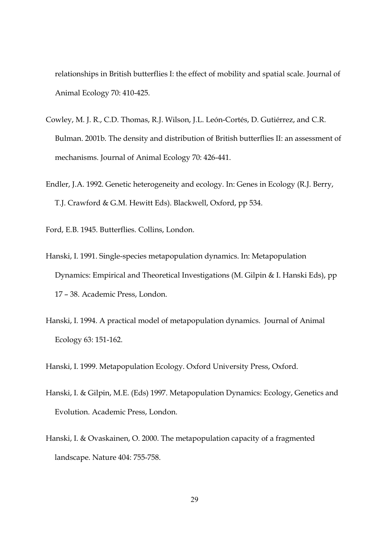relationships in British butterflies I: the effect of mobility and spatial scale. Journal of Animal Ecology 70: 410-425.

- Cowley, M. J. R., C.D. Thomas, R.J. Wilson, J.L. León-Cortés, D. Gutiérrez, and C.R. Bulman. 2001b. The density and distribution of British butterflies II: an assessment of mechanisms. Journal of Animal Ecology 70: 426-441.
- Endler, J.A. 1992. Genetic heterogeneity and ecology. In: Genes in Ecology (R.J. Berry, T.J. Crawford & G.M. Hewitt Eds). Blackwell, Oxford, pp 534.

Ford, E.B. 1945. Butterflies. Collins, London.

- Hanski, I. 1991. Single-species metapopulation dynamics. In: Metapopulation Dynamics: Empirical and Theoretical Investigations (M. Gilpin & I. Hanski Eds), pp 17 – 38. Academic Press, London.
- Hanski, I. 1994. A practical model of metapopulation dynamics. Journal of Animal Ecology 63: 151-162.

Hanski, I. 1999. Metapopulation Ecology. Oxford University Press, Oxford.

- Hanski, I. & Gilpin, M.E. (Eds) 1997. Metapopulation Dynamics: Ecology, Genetics and Evolution. Academic Press, London.
- Hanski, I. & Ovaskainen, O. 2000. The metapopulation capacity of a fragmented landscape. Nature 404: 755-758.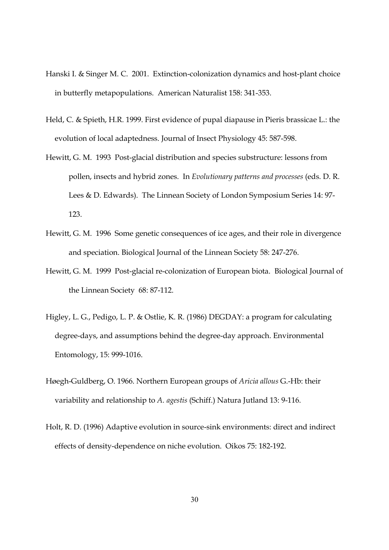- Hanski I. & Singer M. C. 2001. Extinction-colonization dynamics and host-plant choice in butterfly metapopulations. American Naturalist 158: 341-353.
- Held, C. & Spieth, H.R. 1999. First evidence of pupal diapause in Pieris brassicae L.: the evolution of local adaptedness. Journal of Insect Physiology 45: 587-598.
- Hewitt, G. M. 1993 Post-glacial distribution and species substructure: lessons from pollen, insects and hybrid zones. In Evolutionary patterns and processes (eds. D. R. Lees & D. Edwards). The Linnean Society of London Symposium Series 14: 97- 123.
- Hewitt, G. M. 1996 Some genetic consequences of ice ages, and their role in divergence and speciation. Biological Journal of the Linnean Society 58: 247-276.
- Hewitt, G. M. 1999 Post-glacial re-colonization of European biota. Biological Journal of the Linnean Society 68: 87-112.
- Higley, L. G., Pedigo, L. P. & Ostlie, K. R. (1986) DEGDAY: a program for calculating degree-days, and assumptions behind the degree-day approach. Environmental Entomology, 15: 999-1016.
- Høegh-Guldberg, O. 1966. Northern European groups of Aricia allous G.-Hb: their variability and relationship to A. agestis (Schiff.) Natura Jutland 13: 9-116.
- Holt, R. D. (1996) Adaptive evolution in source-sink environments: direct and indirect effects of density-dependence on niche evolution. Oikos 75: 182-192.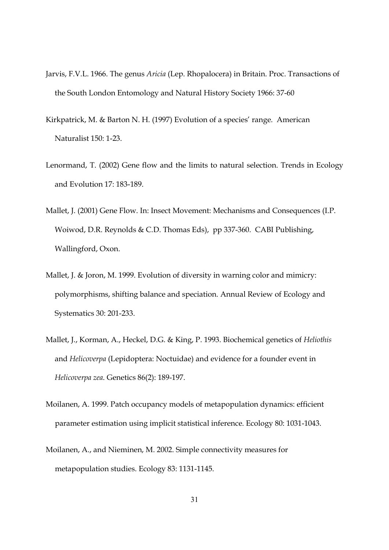- Jarvis, F.V.L. 1966. The genus Aricia (Lep. Rhopalocera) in Britain. Proc. Transactions of the South London Entomology and Natural History Society 1966: 37-60
- Kirkpatrick, M. & Barton N. H. (1997) Evolution of a species' range. American Naturalist 150: 1-23.
- Lenormand, T. (2002) Gene flow and the limits to natural selection. Trends in Ecology and Evolution 17: 183-189.
- Mallet, J. (2001) Gene Flow. In: Insect Movement: Mechanisms and Consequences (I.P. Woiwod, D.R. Reynolds & C.D. Thomas Eds), pp 337-360. CABI Publishing, Wallingford, Oxon.
- Mallet, J. & Joron, M. 1999. Evolution of diversity in warning color and mimicry: polymorphisms, shifting balance and speciation. Annual Review of Ecology and Systematics 30: 201-233.
- Mallet, J., Korman, A., Heckel, D.G. & King, P. 1993. Biochemical genetics of Heliothis and Helicoverpa (Lepidoptera: Noctuidae) and evidence for a founder event in Helicoverpa zea. Genetics 86(2): 189-197.
- Moilanen, A. 1999. Patch occupancy models of metapopulation dynamics: efficient parameter estimation using implicit statistical inference. Ecology 80: 1031-1043.
- Moilanen, A., and Nieminen, M. 2002. Simple connectivity measures for metapopulation studies. Ecology 83: 1131-1145.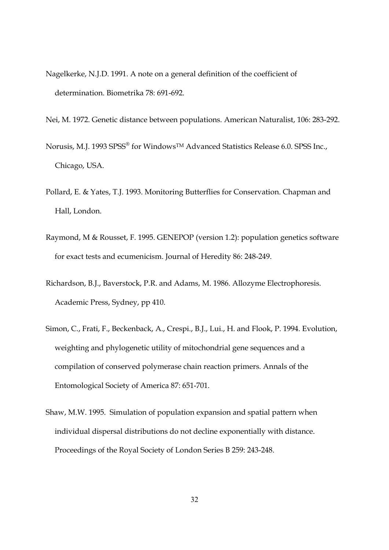- Nagelkerke, N.J.D. 1991. A note on a general definition of the coefficient of determination. Biometrika 78: 691-692.
- Nei, M. 1972. Genetic distance between populations. American Naturalist, 106: 283-292.
- Norusis, M.J. 1993 SPSS® for Windows™ Advanced Statistics Release 6.0. SPSS Inc., Chicago, USA.
- Pollard, E. & Yates, T.J. 1993. Monitoring Butterflies for Conservation. Chapman and Hall, London.
- Raymond, M & Rousset, F. 1995. GENEPOP (version 1.2): population genetics software for exact tests and ecumenicism. Journal of Heredity 86: 248-249.
- Richardson, B.J., Baverstock, P.R. and Adams, M. 1986. Allozyme Electrophoresis. Academic Press, Sydney, pp 410.
- Simon, C., Frati, F., Beckenback, A., Crespi., B.J., Lui., H. and Flook, P. 1994. Evolution, weighting and phylogenetic utility of mitochondrial gene sequences and a compilation of conserved polymerase chain reaction primers. Annals of the Entomological Society of America 87: 651-701.
- Shaw, M.W. 1995. Simulation of population expansion and spatial pattern when individual dispersal distributions do not decline exponentially with distance. Proceedings of the Royal Society of London Series B 259: 243-248.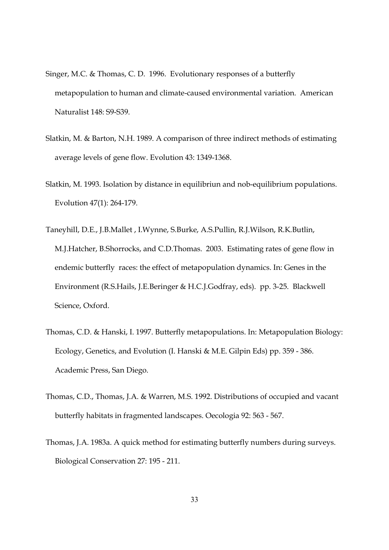- Singer, M.C. & Thomas, C. D. 1996. Evolutionary responses of a butterfly metapopulation to human and climate-caused environmental variation. American Naturalist 148: S9-S39.
- Slatkin, M. & Barton, N.H. 1989. A comparison of three indirect methods of estimating average levels of gene flow. Evolution 43: 1349-1368.
- Slatkin, M. 1993. Isolation by distance in equilibriun and nob-equilibrium populations. Evolution 47(1): 264-179.
- Taneyhill, D.E., J.B.Mallet , I.Wynne, S.Burke, A.S.Pullin, R.J.Wilson, R.K.Butlin, M.J.Hatcher, B.Shorrocks, and C.D.Thomas. 2003. Estimating rates of gene flow in endemic butterfly races: the effect of metapopulation dynamics. In: Genes in the Environment (R.S.Hails, J.E.Beringer & H.C.J.Godfray, eds). pp. 3-25. Blackwell Science, Oxford.
- Thomas, C.D. & Hanski, I. 1997. Butterfly metapopulations. In: Metapopulation Biology: Ecology, Genetics, and Evolution (I. Hanski & M.E. Gilpin Eds) pp. 359 - 386. Academic Press, San Diego.
- Thomas, C.D., Thomas, J.A. & Warren, M.S. 1992. Distributions of occupied and vacant butterfly habitats in fragmented landscapes. Oecologia 92: 563 - 567.
- Thomas, J.A. 1983a. A quick method for estimating butterfly numbers during surveys. Biological Conservation 27: 195 - 211.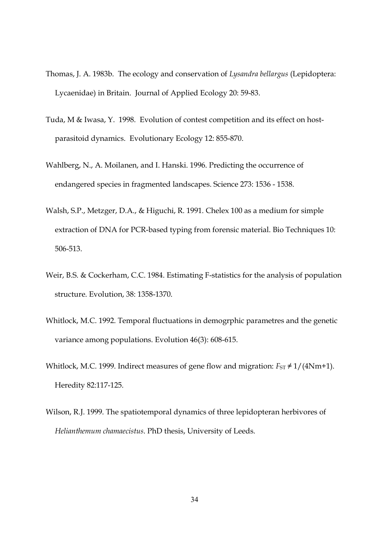- Thomas, J. A. 1983b. The ecology and conservation of Lysandra bellargus (Lepidoptera: Lycaenidae) in Britain. Journal of Applied Ecology 20: 59-83.
- Tuda, M & Iwasa, Y. 1998. Evolution of contest competition and its effect on hostparasitoid dynamics. Evolutionary Ecology 12: 855-870.
- Wahlberg, N., A. Moilanen, and I. Hanski. 1996. Predicting the occurrence of endangered species in fragmented landscapes. Science 273: 1536 - 1538.
- Walsh, S.P., Metzger, D.A., & Higuchi, R. 1991. Chelex 100 as a medium for simple extraction of DNA for PCR-based typing from forensic material. Bio Techniques 10: 506-513.
- Weir, B.S. & Cockerham, C.C. 1984. Estimating F-statistics for the analysis of population structure. Evolution, 38: 1358-1370.
- Whitlock, M.C. 1992. Temporal fluctuations in demogrphic parametres and the genetic variance among populations. Evolution 46(3): 608-615.
- Whitlock, M.C. 1999. Indirect measures of gene flow and migration:  $F_{ST} \neq 1/(4Nm+1)$ . Heredity 82:117-125.
- Wilson, R.J. 1999. The spatiotemporal dynamics of three lepidopteran herbivores of Helianthemum chamaecistus. PhD thesis, University of Leeds.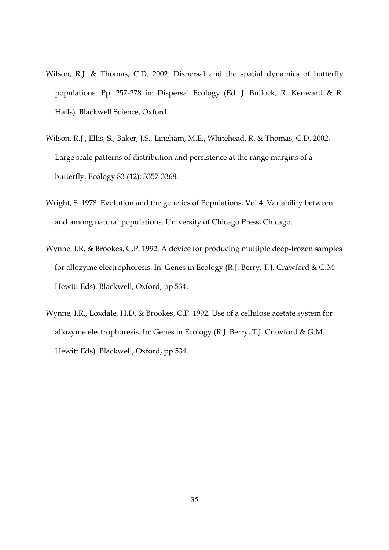- Wilson, R.J. & Thomas, C.D. 2002. Dispersal and the spatial dynamics of butterfly populations. Pp. 257-278 in: Dispersal Ecology (Ed. J. Bullock, R. Kenward & R. Hails). Blackwell Science, Oxford.
- Wilson, R.J., Ellis, S., Baker, J.S., Lineham, M.E., Whitehead, R. & Thomas, C.D. 2002. Large scale patterns of distribution and persistence at the range margins of a butterfly. Ecology 83 (12): 3357-3368.
- Wright, S. 1978. Evolution and the genetics of Populations, Vol 4. Variability between and among natural populations. University of Chicago Press, Chicago.
- Wynne, I.R. & Brookes, C.P. 1992. A device for producing multiple deep-frozen samples for allozyme electrophoresis. In: Genes in Ecology (R.J. Berry, T.J. Crawford & G.M. Hewitt Eds). Blackwell, Oxford, pp 534.
- Wynne, I.R., Loxdale, H.D. & Brookes, C.P. 1992. Use of a cellulose acetate system for allozyme electrophoresis. In: Genes in Ecology (R.J. Berry, T.J. Crawford & G.M. Hewitt Eds). Blackwell, Oxford, pp 534.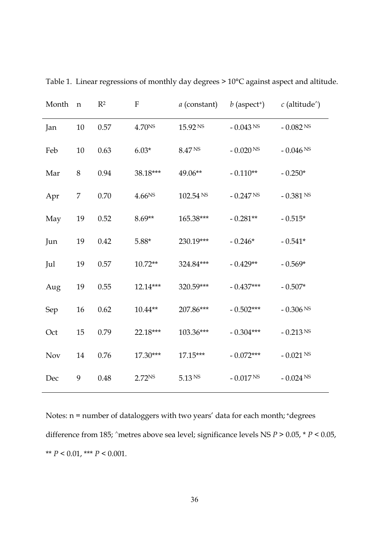| Month      | ${\bf n}$ | $R^2$ | $\mathbf{F}$       | <i>a</i> (constant) | $b$ (aspect <sup>+</sup> ) | $c$ (altitude <sup><math>\land</math></sup> ) |
|------------|-----------|-------|--------------------|---------------------|----------------------------|-----------------------------------------------|
| Jan        | 10        | 0.57  | 4.70NS             | 15.92 NS            | $-0.043$ NS                | - $0.082$ NS                                  |
| Feb        | 10        | 0.63  | $6.03*$            | 8.47 NS             | - $0.020$ NS               | - $0.046$ NS                                  |
| Mar        | 8         | 0.94  | 38.18***           | 49.06**             | $-0.110**$                 | $-0.250*$                                     |
| Apr        | 7         | 0.70  | 4.66 <sup>NS</sup> | 102.54 NS           | $-0.247 Ns$                | $-0.381$ NS                                   |
| May        | 19        | 0.52  | $8.69**$           | 165.38***           | $-0.281**$                 | $-0.515*$                                     |
| Jun        | 19        | 0.42  | $5.88*$            | 230.19***           | $-0.246*$                  | $-0.541*$                                     |
| Jul        | 19        | 0.57  | $10.72**$          | 324.84***           | $-0.429**$                 | $-0.569*$                                     |
| Aug        | 19        | 0.55  | 12.14***           | 320.59***           | $-0.437***$                | $-0.507*$                                     |
| Sep        | 16        | 0.62  | $10.44**$          | 207.86***           | $-0.502***$                | $-0.306$ NS                                   |
| Oct        | 15        | 0.79  | 22.18***           | 103.36***           | $-0.304***$                | $-0.213$ NS                                   |
| <b>Nov</b> | 14        | 0.76  | 17.30***           | $17.15***$          | $-0.072***$                | $-0.021$ NS                                   |
| Dec        | 9         | 0.48  | 2.72 <sub>NS</sub> | 5.13 N <sub>S</sub> | $-0.017$ NS                | $-0.024$ NS                                   |

Table 1. Linear regressions of monthly day degrees > 10°C against aspect and altitude.

Notes: n = number of dataloggers with two years' data for each month; +degrees difference from 185; ^metres above sea level; significance levels NS  $P > 0.05$ , \*  $P < 0.05$ , \*\*  $P < 0.01$ , \*\*\*  $P < 0.001$ .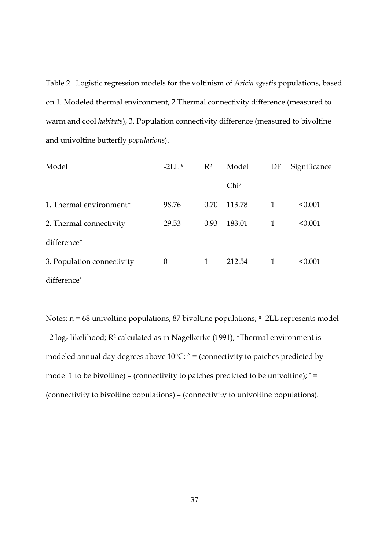Table 2. Logistic regression models for the voltinism of Aricia agestis populations, based on 1. Modeled thermal environment, 2 Thermal connectivity difference (measured to warm and cool habitats), 3. Population connectivity difference (measured to bivoltine and univoltine butterfly populations).

| Model                               | $-2L\left(\frac{1}{2}\right)$ | $R^2$        | Model            | DF | Significance |
|-------------------------------------|-------------------------------|--------------|------------------|----|--------------|
|                                     |                               |              | Chi <sup>2</sup> |    |              |
| 1. Thermal environment <sup>+</sup> | 98.76                         | 0.70         | 113.78           | 1  | < 0.001      |
| 2. Thermal connectivity             | 29.53                         | 0.93         | 183.01           | 1  | < 0.001      |
| difference <sup>^</sup>             |                               |              |                  |    |              |
| 3. Population connectivity          | $\theta$                      | $\mathbf{1}$ | 212.54           | 1  | < 0.001      |
| difference*                         |                               |              |                  |    |              |

Notes: n = 68 univoltine populations, 87 bivoltine populations; # -2LL represents model -2 log<sub>e</sub> likelihood; R<sup>2</sup> calculated as in Nagelkerke (1991); +Thermal environment is modeled annual day degrees above  $10^{\circ}$ C;  $^{\circ}$  = (connectivity to patches predicted by model 1 to be bivoltine) – (connectivity to patches predicted to be univoltine); \* = (connectivity to bivoltine populations) – (connectivity to univoltine populations).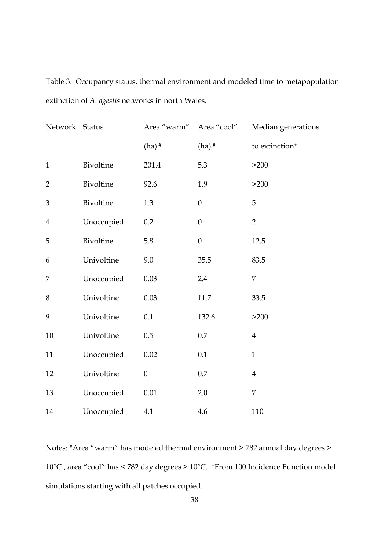Table 3. Occupancy status, thermal environment and modeled time to metapopulation extinction of A. agestis networks in north Wales.

| Network Status |            | Area "warm"      | Area "cool"      | Median generations         |
|----------------|------------|------------------|------------------|----------------------------|
|                |            | $(ha)$ #         | $(ha)$ #         | to extinction <sup>+</sup> |
| $\mathbf{1}$   | Bivoltine  | 201.4            | 5.3              | >200                       |
| $\overline{2}$ | Bivoltine  | 92.6             | 1.9              | >200                       |
| 3              | Bivoltine  | 1.3              | $\boldsymbol{0}$ | 5                          |
| $\overline{4}$ | Unoccupied | 0.2              | $\boldsymbol{0}$ | $\overline{2}$             |
| 5              | Bivoltine  | 5.8              | $\mathbf{0}$     | 12.5                       |
| 6              | Univoltine | 9.0              | 35.5             | 83.5                       |
| 7              | Unoccupied | 0.03             | 2.4              | 7                          |
| 8              | Univoltine | 0.03             | 11.7             | 33.5                       |
| 9              | Univoltine | 0.1              | 132.6            | >200                       |
| $10\,$         | Univoltine | $0.5\,$          | $0.7\,$          | $\overline{4}$             |
| 11             | Unoccupied | $0.02\,$         | 0.1              | $\mathbf{1}$               |
| 12             | Univoltine | $\boldsymbol{0}$ | $0.7\,$          | $\overline{4}$             |
| 13             | Unoccupied | 0.01             | 2.0              | 7                          |
| 14             | Unoccupied | 4.1              | 4.6              | 110                        |

Notes: #Area "warm" has modeled thermal environment > 782 annual day degrees > 10°C , area "cool" has < 782 day degrees > 10°C. <sup>+</sup>From 100 Incidence Function model simulations starting with all patches occupied.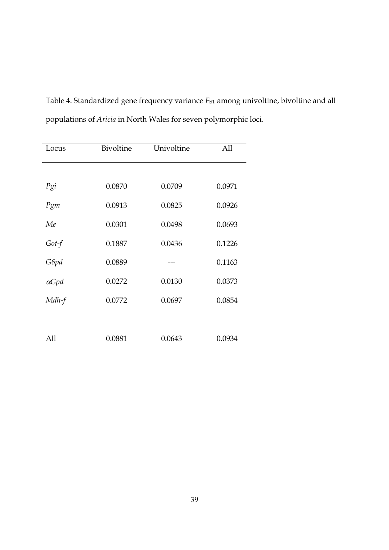Table 4. Standardized gene frequency variance  $F_{ST}$  among univoltine, bivoltine and all populations of Aricia in North Wales for seven polymorphic loci.

| Locus        | Bivoltine | Univoltine | All    |
|--------------|-----------|------------|--------|
|              |           |            |        |
| Pgi          | 0.0870    | 0.0709     | 0.0971 |
| Pgm          | 0.0913    | 0.0825     | 0.0926 |
| Me           | 0.0301    | 0.0498     | 0.0693 |
| $Got-f$      | 0.1887    | 0.0436     | 0.1226 |
| G6pd         | 0.0889    |            | 0.1163 |
| $\alpha$ Gpd | 0.0272    | 0.0130     | 0.0373 |
| Mdh-f        | 0.0772    | 0.0697     | 0.0854 |
|              |           |            |        |
| All          | 0.0881    | 0.0643     | 0.0934 |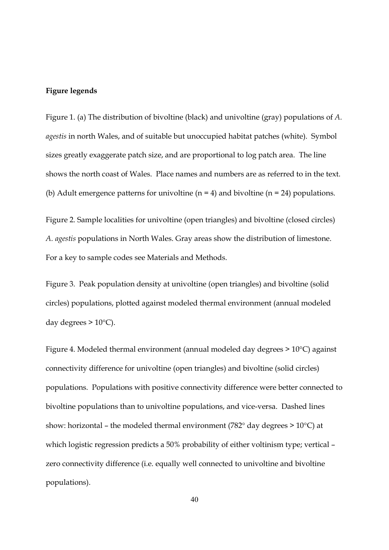## Figure legends

Figure 1. (a) The distribution of bivoltine (black) and univoltine (gray) populations of A. agestis in north Wales, and of suitable but unoccupied habitat patches (white). Symbol sizes greatly exaggerate patch size, and are proportional to log patch area. The line shows the north coast of Wales. Place names and numbers are as referred to in the text. (b) Adult emergence patterns for univoltine  $(n = 4)$  and bivoltine  $(n = 24)$  populations.

Figure 2. Sample localities for univoltine (open triangles) and bivoltine (closed circles) A. agestis populations in North Wales. Gray areas show the distribution of limestone. For a key to sample codes see Materials and Methods.

Figure 3. Peak population density at univoltine (open triangles) and bivoltine (solid circles) populations, plotted against modeled thermal environment (annual modeled day degrees  $> 10^{\circ}$ C).

Figure 4. Modeled thermal environment (annual modeled day degrees > 10°C) against connectivity difference for univoltine (open triangles) and bivoltine (solid circles) populations. Populations with positive connectivity difference were better connected to bivoltine populations than to univoltine populations, and vice-versa. Dashed lines show: horizontal – the modeled thermal environment (782° day degrees > 10°C) at which logistic regression predicts a 50% probability of either voltinism type; vertical – zero connectivity difference (i.e. equally well connected to univoltine and bivoltine populations).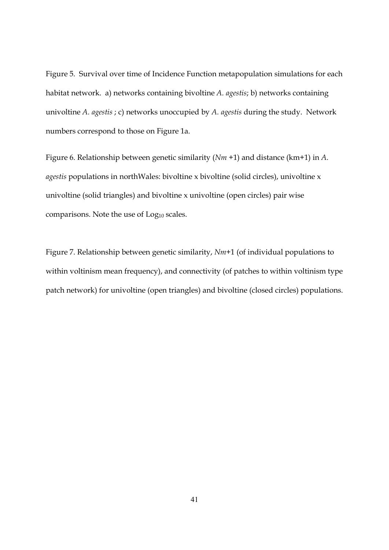Figure 5. Survival over time of Incidence Function metapopulation simulations for each habitat network. a) networks containing bivoltine A. agestis; b) networks containing univoltine A. agestis ; c) networks unoccupied by A. agestis during the study. Network numbers correspond to those on Figure 1a.

Figure 6. Relationship between genetic similarity  $(Nm +1)$  and distance  $(km+1)$  in A. agestis populations in northWales: bivoltine x bivoltine (solid circles), univoltine x univoltine (solid triangles) and bivoltine x univoltine (open circles) pair wise comparisons. Note the use of Log<sub>10</sub> scales.

Figure 7. Relationship between genetic similarity, Nm+1 (of individual populations to within voltinism mean frequency), and connectivity (of patches to within voltinism type patch network) for univoltine (open triangles) and bivoltine (closed circles) populations.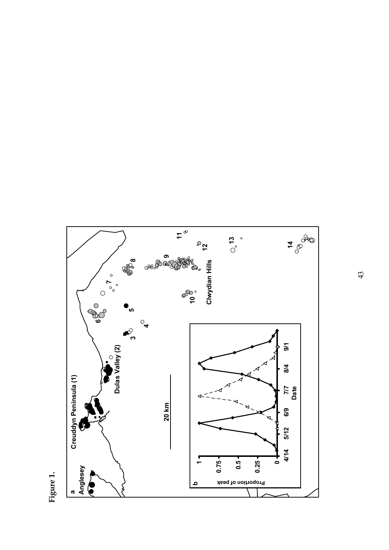

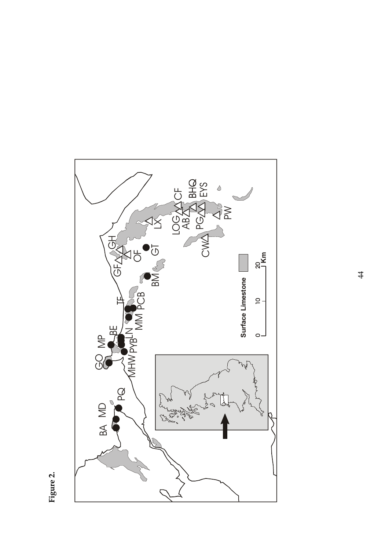

Figure 2.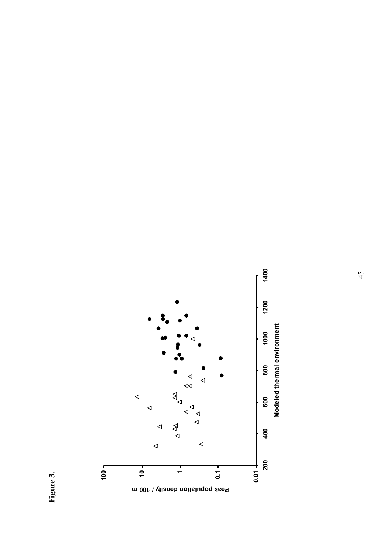

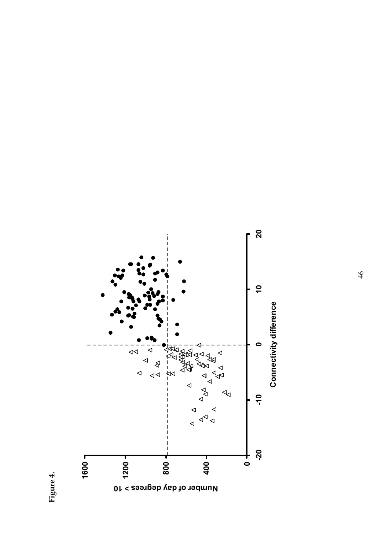

Figure 4.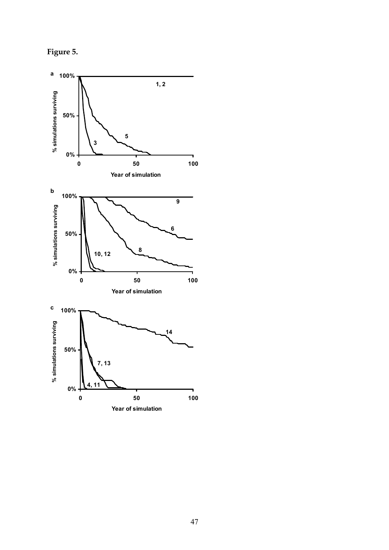Figure 5.

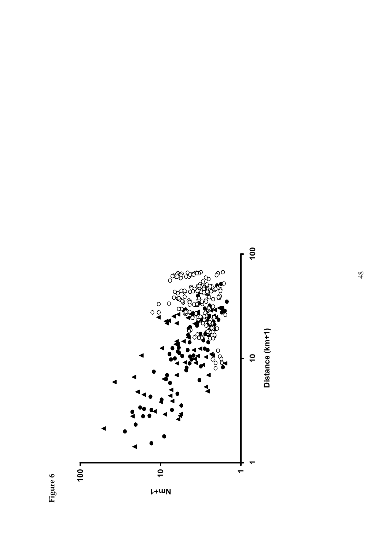

Figure 6.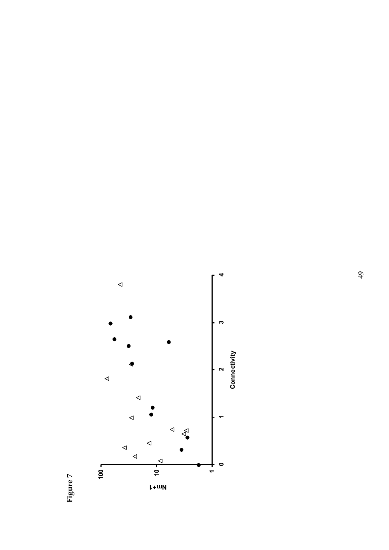Figure 7.

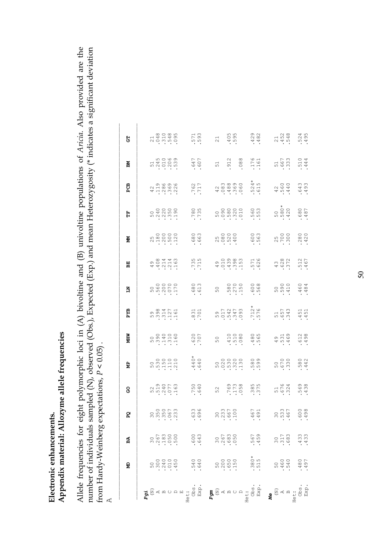# Appendix material: Allozyme allele frequencies Appendix material: Allozyme allele frequencies Electronic enhancements. Electronic enhancements.

Allele frequencies for eight polymorphic loci in (A) bivoltine and (B) univoltine populations of Aricia. Also provided are the Allele frequencies for eight polymorphic loci in (A) bivoltine and (B) univoltine populations of Aricia. Also provided are the number of individuals sampled (N), observed (Obs.), Expected (Exp.) and mean Heterozygosity (\* indicates a significant deviation number of individuals sampled (N), observed (Obs.), Expected (Exp.) and mean Heterozygosity (\* indicates a significant deviation from Hardy-Weinberg expectations,  $P < 0.05$ ). from Hardy-Weinberg expectations,  $P < 0.05$ ) .

 $\overline{A}$ 

|                                                                                                                                                                                                                                                                                                                                                                                                                                                               | ą                                                                                                   | ß                                                                         | Ã,                                                                                                                                                                                                                                                                                                                                                                                              | 8                              | ă                                 | MHW                                 | БZВ                                            | Ĕ                        | 멻                                        | ğ                                                                        | H                                          | සි<br>ප                                    | ЯÄ                    | 5                      |
|---------------------------------------------------------------------------------------------------------------------------------------------------------------------------------------------------------------------------------------------------------------------------------------------------------------------------------------------------------------------------------------------------------------------------------------------------------------|-----------------------------------------------------------------------------------------------------|---------------------------------------------------------------------------|-------------------------------------------------------------------------------------------------------------------------------------------------------------------------------------------------------------------------------------------------------------------------------------------------------------------------------------------------------------------------------------------------|--------------------------------|-----------------------------------|-------------------------------------|------------------------------------------------|--------------------------|------------------------------------------|--------------------------------------------------------------------------|--------------------------------------------|--------------------------------------------|-----------------------|------------------------|
|                                                                                                                                                                                                                                                                                                                                                                                                                                                               |                                                                                                     |                                                                           |                                                                                                                                                                                                                                                                                                                                                                                                 |                                |                                   |                                     |                                                |                          |                                          |                                                                          |                                            |                                            |                       |                        |
| ិ<br>ស្ថិត្ត<br><b>A</b>                                                                                                                                                                                                                                                                                                                                                                                                                                      |                                                                                                     |                                                                           |                                                                                                                                                                                                                                                                                                                                                                                                 |                                |                                   |                                     |                                                |                          |                                          |                                                                          |                                            |                                            |                       |                        |
|                                                                                                                                                                                                                                                                                                                                                                                                                                                               |                                                                                                     |                                                                           | ៰ៜៜ៝៷<br>$\omega$ $\omega$ $\omega$ $\omega$                                                                                                                                                                                                                                                                                                                                                    |                                |                                   |                                     |                                                |                          |                                          |                                                                          |                                            |                                            |                       |                        |
|                                                                                                                                                                                                                                                                                                                                                                                                                                                               |                                                                                                     |                                                                           |                                                                                                                                                                                                                                                                                                                                                                                                 |                                |                                   |                                     |                                                |                          |                                          |                                                                          |                                            |                                            |                       |                        |
|                                                                                                                                                                                                                                                                                                                                                                                                                                                               |                                                                                                     |                                                                           |                                                                                                                                                                                                                                                                                                                                                                                                 |                                |                                   |                                     |                                                |                          |                                          |                                                                          |                                            |                                            |                       |                        |
|                                                                                                                                                                                                                                                                                                                                                                                                                                                               | $\begin{array}{c} 0 & 0 & 0 & 0 \\ 0 & 0 & 0 & 0 \\ 0 & 0 & 0 & 0 \\ 0 & 0 & 0 & 0 \\ \end{array}.$ | $\begin{array}{c} 300 \\ 700 \\ 700 \\ 100 \\ 0 \\ 0 \\ 0 \\ \end{array}$ |                                                                                                                                                                                                                                                                                                                                                                                                 | 59001<br>51407<br>5001<br>5001 | $5000000$<br>$.110000$<br>$.1100$ | 50000000000                         | $598047161$<br>$.3947161$<br>$.161$            |                          | $400440$<br>$40140$<br>$40140$<br>$4100$ | $\begin{array}{c} 25000 \\ 210000 \\ \hline 11000 \\ \hline \end{array}$ |                                            | $47100000$<br>$47100000$<br>$$<br>$$<br>$$ | 5<br>141009<br>141009 | 7100000000             |
|                                                                                                                                                                                                                                                                                                                                                                                                                                                               |                                                                                                     |                                                                           |                                                                                                                                                                                                                                                                                                                                                                                                 |                                |                                   |                                     |                                                |                          |                                          |                                                                          |                                            |                                            |                       |                        |
|                                                                                                                                                                                                                                                                                                                                                                                                                                                               |                                                                                                     |                                                                           |                                                                                                                                                                                                                                                                                                                                                                                                 |                                |                                   |                                     |                                                |                          |                                          |                                                                          |                                            |                                            |                       |                        |
|                                                                                                                                                                                                                                                                                                                                                                                                                                                               |                                                                                                     |                                                                           | 3<br>3<br>9                                                                                                                                                                                                                                                                                                                                                                                     |                                |                                   |                                     |                                                |                          |                                          |                                                                          |                                            |                                            |                       |                        |
|                                                                                                                                                                                                                                                                                                                                                                                                                                                               | .540<br>045.                                                                                        | $.600$<br>$.643$                                                          | $\circ$ $\circ$                                                                                                                                                                                                                                                                                                                                                                                 | .750<br>057.                   | $.440*$<br>$.640*$                | .707                                | .831<br>.701                                   | $.680$<br>$.613$         | $.735$<br>$.715$                         | $.680$<br>$.663$                                                         | .785<br>.735                               | .762<br>.717                               | .667<br>769.          | .593                   |
| Het: $\sum_{R}$ $\sum_{R}$ $\sum_{R}$ $\sum_{R}$ $\sum_{R}$ $\sum_{R}$ $\sum_{R}$ $\sum_{R}$ $\sum_{R}$ $\sum_{R}$ $\sum_{R}$ $\sum_{R}$ $\sum_{R}$ $\sum_{R}$ $\sum_{R}$ $\sum_{R}$ $\sum_{R}$ $\sum_{R}$ $\sum_{R}$ $\sum_{R}$ $\sum_{R}$ $\sum_{R}$ $\sum_{R}$ $\sum_{R}$ $\sum_{R}$ $\sum_{R}$ $\sum_{R}$                                                                                                                                                 |                                                                                                     |                                                                           |                                                                                                                                                                                                                                                                                                                                                                                                 |                                |                                   |                                     |                                                |                          |                                          |                                                                          |                                            |                                            |                       |                        |
|                                                                                                                                                                                                                                                                                                                                                                                                                                                               |                                                                                                     |                                                                           |                                                                                                                                                                                                                                                                                                                                                                                                 | 52                             |                                   |                                     |                                                | 50                       |                                          |                                                                          |                                            |                                            | 51                    |                        |
|                                                                                                                                                                                                                                                                                                                                                                                                                                                               | 50000<br>2000<br>3000                                                                               |                                                                           | 0.00000<br>$\overline{M}$ $\overline{M}$ $\overline{M}$ $\overline{M}$ $\overline{M}$ $\overline{M}$ $\overline{M}$ $\overline{M}$ $\overline{M}$ $\overline{M}$ $\overline{M}$ $\overline{M}$ $\overline{M}$ $\overline{M}$ $\overline{M}$ $\overline{M}$ $\overline{M}$ $\overline{M}$ $\overline{M}$ $\overline{M}$ $\overline{M}$ $\overline{M}$ $\overline{M}$ $\overline{M}$ $\overline{$ |                                |                                   |                                     |                                                |                          |                                          |                                                                          |                                            |                                            |                       | $21$<br>$405$<br>$.55$ |
|                                                                                                                                                                                                                                                                                                                                                                                                                                                               |                                                                                                     |                                                                           |                                                                                                                                                                                                                                                                                                                                                                                                 |                                |                                   |                                     |                                                |                          |                                          |                                                                          |                                            |                                            | .912                  |                        |
|                                                                                                                                                                                                                                                                                                                                                                                                                                                               |                                                                                                     |                                                                           |                                                                                                                                                                                                                                                                                                                                                                                                 |                                |                                   |                                     |                                                |                          |                                          |                                                                          |                                            |                                            |                       |                        |
|                                                                                                                                                                                                                                                                                                                                                                                                                                                               |                                                                                                     |                                                                           |                                                                                                                                                                                                                                                                                                                                                                                                 |                                |                                   | $50$<br>$-4100$<br>$-100$<br>$-100$ |                                                | 580<br>-- 380<br>-- 390  |                                          | $70000$<br>$.0000$<br>$.0000$                                            | $000000$<br>$000000$<br>$00000$<br>$00000$ | $400000$<br>$4000000$<br>$400000$          | $088$ .               |                        |
|                                                                                                                                                                                                                                                                                                                                                                                                                                                               |                                                                                                     |                                                                           |                                                                                                                                                                                                                                                                                                                                                                                                 |                                |                                   |                                     |                                                |                          |                                          |                                                                          |                                            |                                            |                       |                        |
|                                                                                                                                                                                                                                                                                                                                                                                                                                                               |                                                                                                     |                                                                           | 67<br>44                                                                                                                                                                                                                                                                                                                                                                                        |                                |                                   |                                     |                                                |                          |                                          |                                                                          |                                            |                                            |                       |                        |
|                                                                                                                                                                                                                                                                                                                                                                                                                                                               | $380*$<br>515                                                                                       | -567<br>-459                                                              |                                                                                                                                                                                                                                                                                                                                                                                                 | 385<br>375                     | 580<br>599                        | $-480$<br>$-565$                    | 1<br>1974 - 1975<br>1976 - 1976<br>1977 - 1978 | $600$<br>$-568$          | $.571$<br>$.626$                         | $.500$<br>$.563$                                                         | $-560$<br>$-553$                           | $.524*$                                    | $.176$<br>$.161$      | $429$<br>$-482$        |
| $\begin{array}{c}\n\mathbf{M} \\ \mathbf{M} \\ \mathbf{M} \\ \mathbf{M} \\ \mathbf{M} \\ \mathbf{M} \\ \mathbf{M} \\ \mathbf{M} \\ \mathbf{M} \\ \mathbf{M} \\ \mathbf{M} \\ \mathbf{M} \\ \mathbf{M} \\ \mathbf{M} \\ \mathbf{M} \\ \mathbf{M} \\ \mathbf{M} \\ \mathbf{M} \\ \mathbf{M} \\ \mathbf{M} \\ \mathbf{M} \\ \mathbf{M} \\ \mathbf{M} \\ \mathbf{M} \\ \mathbf{M} \\ \mathbf{M} \\ \mathbf{M} \\ \mathbf{M} \\ \mathbf{M} \\ \mathbf{M} \\ \math$ |                                                                                                     |                                                                           |                                                                                                                                                                                                                                                                                                                                                                                                 |                                |                                   |                                     |                                                |                          |                                          |                                                                          |                                            |                                            |                       |                        |
|                                                                                                                                                                                                                                                                                                                                                                                                                                                               |                                                                                                     |                                                                           |                                                                                                                                                                                                                                                                                                                                                                                                 |                                |                                   |                                     |                                                |                          |                                          |                                                                          |                                            |                                            |                       |                        |
|                                                                                                                                                                                                                                                                                                                                                                                                                                                               |                                                                                                     |                                                                           | $\omega$ $\approx$ $\omega$                                                                                                                                                                                                                                                                                                                                                                     |                                |                                   |                                     |                                                |                          |                                          |                                                                          |                                            |                                            |                       |                        |
|                                                                                                                                                                                                                                                                                                                                                                                                                                                               | 50<br>50<br>50<br>50<br>50                                                                          | $3077$<br>$-318$<br>$-313$                                                | 0 M G                                                                                                                                                                                                                                                                                                                                                                                           | 51674<br>678                   | 50<br>670<br>.330                 | $49100$<br>$404$<br>$.49$           | 51<br>557<br>557<br>513                        | 500<br>500<br>500<br>500 | $43802$<br>$-372$<br>$-372$              | $2500$<br>$.700$                                                         | $50*$<br>$580*$<br>$420$                   | $450$<br>$-400$<br>$-40$                   | 51<br>667<br>933.     | $2430000000$           |
|                                                                                                                                                                                                                                                                                                                                                                                                                                                               |                                                                                                     |                                                                           |                                                                                                                                                                                                                                                                                                                                                                                                 |                                |                                   |                                     |                                                |                          |                                          |                                                                          |                                            |                                            |                       |                        |
|                                                                                                                                                                                                                                                                                                                                                                                                                                                               | .480<br>.480                                                                                        | $.433$<br>$.433$                                                          | $\begin{smallmatrix} 0 & 8 \\ 0 & 0 \end{smallmatrix}$<br>64                                                                                                                                                                                                                                                                                                                                    | 569<br>438                     | .580<br>.442                      | $.612$<br>$.498$                    | $.451$<br>$.451$                               | $.460$<br>$.484$         | .512<br>.467                             | $.280$<br>$.420$                                                         | $.680$<br>$.487$                           | $.643$<br>$.493$                           | .510<br>.444          | $.524$<br>$.495$       |
|                                                                                                                                                                                                                                                                                                                                                                                                                                                               |                                                                                                     |                                                                           |                                                                                                                                                                                                                                                                                                                                                                                                 |                                |                                   |                                     |                                                |                          |                                          |                                                                          |                                            |                                            |                       |                        |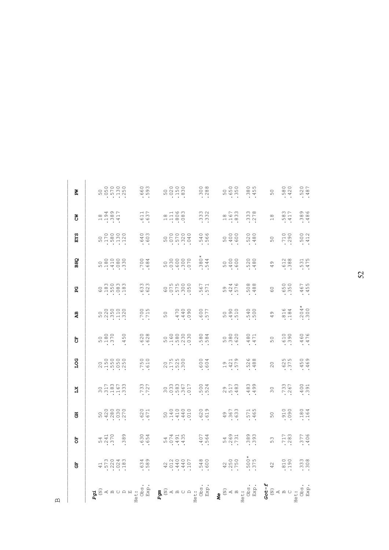| 凹 |            | $\begin{array}{l} \Sigma\, \simeq\, \simeq\, \simeq\, \simeq\, \simeq\, \simeq\, \simeq\, \simeq\, \simeq\, \simeq\, \simeq\, \simeq\, \simeq\, \simeq\, \simeq\, \simeq\, \simeq\, \simeq\, \simeq\, \simeq\, \simeq\, \simeq\, \simeq\, \simeq\, \simeq\, \simeq\, \simeq\, \simeq\, \simeq\, \simeq\, \simeq\, \simeq\, \simeq\, \simeq\, \simeq\$<br>Pgi | Obs<br>Exp       | $\begin{picture}(180,180) \put(0,0){\line(1,0){155}} \put(15,0){\line(1,0){155}} \put(15,0){\line(1,0){155}} \put(15,0){\line(1,0){155}} \put(15,0){\line(1,0){155}} \put(15,0){\line(1,0){155}} \put(15,0){\line(1,0){155}} \put(15,0){\line(1,0){155}} \put(15,0){\line(1,0){155}} \put(15,0){\line(1,0){155}} \put(15,0){\line(1,0){155$ |                  | $\begin{array}{c}\n\mathbf{M} \\ \mathbf{M} \\ \mathbf{M} \\ \mathbf{M} \\ \mathbf{M} \\ \mathbf{M} \\ \mathbf{M} \\ \mathbf{M} \\ \mathbf{M} \\ \mathbf{M} \\ \mathbf{M} \\ \mathbf{M} \\ \mathbf{M} \\ \mathbf{M} \\ \mathbf{M} \\ \mathbf{M} \\ \mathbf{M} \\ \mathbf{M} \\ \mathbf{M} \\ \mathbf{M} \\ \mathbf{M} \\ \mathbf{M} \\ \mathbf{M} \\ \mathbf{M} \\ \mathbf{M} \\ \mathbf{M} \\ \mathbf{M} \\ \mathbf{M} \\ \mathbf{M} \\ \mathbf{M} \\ \math$ |                 | $\begin{array}{l} \textbf{Got-f} \\ \textbf{G} \\ \textbf{M} \\ \textbf{A} \\ \textbf{B} \\ \textbf{B} \\ \textbf{B} \\ \textbf{B} \\ \textbf{B} \\ \textbf{B} \\ \textbf{B} \\ \textbf{B} \\ \textbf{B} \\ \textbf{B} \\ \textbf{B} \\ \textbf{B} \\ \textbf{B} \\ \textbf{B} \\ \textbf{B} \\ \textbf{B} \\ \textbf{B} \\ \textbf{B} \\ \textbf{B} \\ \textbf{B} \\ \textbf{B} \\ \textbf{B} \\ \textbf{B} \\ \textbf{B} \\ \textbf{B} \\ \textbf{B} \\ \$ |                   |
|---|------------|--------------------------------------------------------------------------------------------------------------------------------------------------------------------------------------------------------------------------------------------------------------------------------------------------------------------------------------------------------------|------------------|---------------------------------------------------------------------------------------------------------------------------------------------------------------------------------------------------------------------------------------------------------------------------------------------------------------------------------------------|------------------|---------------------------------------------------------------------------------------------------------------------------------------------------------------------------------------------------------------------------------------------------------------------------------------------------------------------------------------------------------------------------------------------------------------------------------------------------------------|-----------------|--------------------------------------------------------------------------------------------------------------------------------------------------------------------------------------------------------------------------------------------------------------------------------------------------------------------------------------------------------------------------------------------------------------------------------------------------------------|-------------------|
|   | 5          | $47,0040$<br>$-0.0040$<br>$-0.0040$<br>$-1.0040$                                                                                                                                                                                                                                                                                                             | $680$<br>583     | $4014407$<br>$44407$<br>$44407$                                                                                                                                                                                                                                                                                                             | .548<br>.600     | $.500*$<br>$.375$<br>$420$<br>$.750$<br>$.750$                                                                                                                                                                                                                                                                                                                                                                                                                | $42$            | 810                                                                                                                                                                                                                                                                                                                                                                                                                                                          | $.3338$<br>$.308$ |
|   | ă          | 389                                                                                                                                                                                                                                                                                                                                                          | $.630$<br>$.650$ |                                                                                                                                                                                                                                                                                                                                             | .564<br>564      | 54<br>269<br>731<br>$389$<br>$393$                                                                                                                                                                                                                                                                                                                                                                                                                            | 53              | 717<br>283                                                                                                                                                                                                                                                                                                                                                                                                                                                   | .3776             |
|   | <b>ED</b>  | $\begin{matrix} 0 & 0 & 0 & 0 & 0 \\ 0 & 0 & 0 & 0 & 0 \\ 0 & 0 & 0 & 0 & 0 \\ 0 & 0 & 0 & 0 & 0 \\ 0 & 0 & 0 & 0 & 0 \\ 0 & 0 & 0 & 0 & 0 \\ 0 & 0 & 0 & 0 & 0 \\ 0 & 0 & 0 & 0 & 0 \\ 0 & 0 & 0 & 0 & 0 \\ 0 & 0 & 0 & 0 & 0 \\ 0 & 0 & 0 & 0 & 0 \\ 0 & 0 & 0 & 0 & 0 \\ 0 & 0 & 0 & 0 & 0 \\ 0 & 0 & 0 & 0 & 0 \\ 0 & 0$                                 | .620             |                                                                                                                                                                                                                                                                                                                                             | 620<br>619       | 571<br>465<br>.367<br>$\frac{6}{7}$                                                                                                                                                                                                                                                                                                                                                                                                                           | 50              | 060.                                                                                                                                                                                                                                                                                                                                                                                                                                                         | .180<br>.164      |
|   | ΣŽ         | $301780$<br>$318070$<br>$318070$<br>$3030$                                                                                                                                                                                                                                                                                                                   | .733<br>.727     |                                                                                                                                                                                                                                                                                                                                             | .500<br>.524     | $.483$<br>$.499$<br>$29$<br>517<br>517<br>53                                                                                                                                                                                                                                                                                                                                                                                                                  | 30              | .733<br>267                                                                                                                                                                                                                                                                                                                                                                                                                                                  | .400<br>.391      |
|   | g<br>Sot   | $200000$<br>$-150000$<br>$-00000$<br>$-0000$                                                                                                                                                                                                                                                                                                                 | .750<br>015      |                                                                                                                                                                                                                                                                                                                                             | .604             | .528<br>.488<br>$19$<br>$421$<br>$579$                                                                                                                                                                                                                                                                                                                                                                                                                        | $\overline{0}$  | 625<br>375                                                                                                                                                                                                                                                                                                                                                                                                                                                   | .459<br>.469      |
|   | 4          | 50<br>180<br>370<br>450                                                                                                                                                                                                                                                                                                                                      | 628<br>628       |                                                                                                                                                                                                                                                                                                                                             | .5884            | 50<br>380<br>380<br>.480<br>.471                                                                                                                                                                                                                                                                                                                                                                                                                              | 50              | .610<br>065.                                                                                                                                                                                                                                                                                                                                                                                                                                                 | $.460$<br>$.476$  |
|   | đ          |                                                                                                                                                                                                                                                                                                                                                              | 700<br>715       | 060<br>0410<br>0410<br>50                                                                                                                                                                                                                                                                                                                   | 577.             | 5000<br>50<br>490<br>510<br>510                                                                                                                                                                                                                                                                                                                                                                                                                               | $\frac{9}{4}$   | .816<br>.184                                                                                                                                                                                                                                                                                                                                                                                                                                                 | $.300*$           |
|   | ር<br>በ     |                                                                                                                                                                                                                                                                                                                                                              | $.633$<br>$.623$ | 60<br>075<br>0760<br>050<br>050                                                                                                                                                                                                                                                                                                             | .567<br>.571     | .508<br>.488<br>59<br>524<br>576<br>59                                                                                                                                                                                                                                                                                                                                                                                                                        | $\overline{6}0$ | .650<br>350                                                                                                                                                                                                                                                                                                                                                                                                                                                  | -467<br>-455      |
|   | <b>DHS</b> |                                                                                                                                                                                                                                                                                                                                                              | .7884            |                                                                                                                                                                                                                                                                                                                                             | $.380*$          | .520<br>.480<br>500<br>4000<br>600                                                                                                                                                                                                                                                                                                                                                                                                                            | $\frac{9}{4}$   | $.388$<br>$.388$                                                                                                                                                                                                                                                                                                                                                                                                                                             | .531<br>.475      |
|   | EYS        |                                                                                                                                                                                                                                                                                                                                                              | .640<br>.603     |                                                                                                                                                                                                                                                                                                                                             | .540<br>.566     | $.520$<br>$.480$<br>500<br>4000<br>600                                                                                                                                                                                                                                                                                                                                                                                                                        | 50              | .710<br>290                                                                                                                                                                                                                                                                                                                                                                                                                                                  | .500<br>.412      |
|   | š          | 11661<br>1980<br>1981                                                                                                                                                                                                                                                                                                                                        | 611<br>637       | $\begin{array}{c} 28 \\ 4100 \\ 1400 \\ 0 \\ 0 \\ 0 \\ \end{array}$                                                                                                                                                                                                                                                                         | 3332             | 3338<br>167<br>833<br>$\frac{8}{10}$                                                                                                                                                                                                                                                                                                                                                                                                                          | $\frac{8}{11}$  | 583<br>417                                                                                                                                                                                                                                                                                                                                                                                                                                                   | $.3896$<br>$.486$ |
|   | Ã          |                                                                                                                                                                                                                                                                                                                                                              | .660<br>593      |                                                                                                                                                                                                                                                                                                                                             | $.300$<br>$.288$ | 50<br>650<br>350<br>$.380$<br>$455$                                                                                                                                                                                                                                                                                                                                                                                                                           | 50              | .580<br>.420                                                                                                                                                                                                                                                                                                                                                                                                                                                 | .520<br>.487      |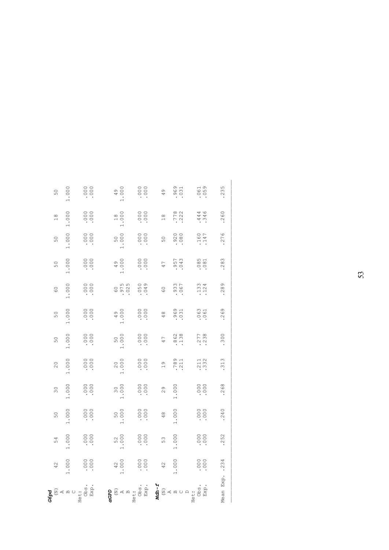| $\begin{array}{c} \mathbf{G}\mathbf{S}\mathbf{D}\mathbf{G} \\ \mathbf{G}\mathbf{D} \\ \mathbf{A} \\ \mathbf{B} \\ \mathbf{B} \\ \mathbf{B} \\ \mathbf{B} \\ \mathbf{B} \\ \mathbf{B} \\ \mathbf{B} \\ \mathbf{C} \end{array},$ | 42             | 54               | 50            | $\frac{0}{3}$   | $\overline{0}$  | 50             | 50               | $\frac{0}{6}$    | 50               | 50               | $\frac{8}{10}$   | 50            |
|--------------------------------------------------------------------------------------------------------------------------------------------------------------------------------------------------------------------------------|----------------|------------------|---------------|-----------------|-----------------|----------------|------------------|------------------|------------------|------------------|------------------|---------------|
|                                                                                                                                                                                                                                | 000.           | 1.000            | 1.000         | 000.            | 1.000           | 000            | 1.000            | 000              | 1.000            | 1.000            | 1.000            | 000           |
|                                                                                                                                                                                                                                | 000            | .000             | .000          | $0000$ .        | $000$ .         | .000           | .000             | .000             | $000$ .          | $0000$ .         | .000             | .000          |
|                                                                                                                                                                                                                                | $42$<br>$.000$ | 5200             | 500           | $300$<br>$.000$ | $200$<br>$.000$ | 500.           | 4900             | 60<br>975<br>975 | $0000$ .         | 50<br>000        | 1800             | $-0.00$       |
|                                                                                                                                                                                                                                | 000            | $000$ .          | $000$ .       | 000             | $000$ .         | 000            | $000$ .          | $0.50$<br>0.49   | 0000             | $000$ .          | $000$ .          | .000          |
|                                                                                                                                                                                                                                | 42             | 53               | $\frac{8}{7}$ | $\frac{6}{2}$   | $\frac{6}{1}$   | 47             | 48               | $\circ$          | 47               | 50               | $\frac{8}{10}$   | $\frac{6}{7}$ |
|                                                                                                                                                                                                                                | 1.000          | 000              | 1.000         | 1.000           | .789<br>211     | $862$<br>$138$ | 969<br>031       | .933<br>.067     | .957<br>043      | 920<br>080       | 778<br>222       | 9631          |
|                                                                                                                                                                                                                                | .000           | $.000$<br>$.000$ | $000$ .       | .000            | .332            | 2778<br>238    | $.063$<br>$.061$ | $.133$<br>$.124$ | $.085$<br>$.081$ | $.160$<br>$.147$ | $.446$<br>$.346$ | 061<br>061    |
| Mean Exp                                                                                                                                                                                                                       | .234           | .252             | .240          | 268             | .313            | 300            | .269             | $-289$           | .283             | .276             | 260              | 235           |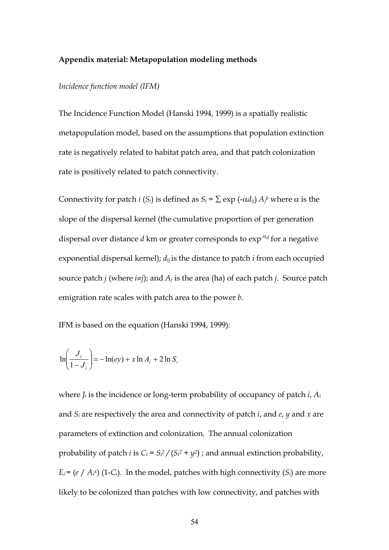#### Appendix material: Metapopulation modeling methods

#### Incidence function model (IFM)

The Incidence Function Model (Hanski 1994, 1999) is a spatially realistic metapopulation model, based on the assumptions that population extinction rate is negatively related to habitat patch area, and that patch colonization rate is positively related to patch connectivity.

Connectivity for patch *i* (*S<sub>i</sub>*) is defined as *S<sub>i</sub>* =  $\sum$  exp (- $\alpha d_{ij}$ )  $A_j^b$  where  $\alpha$  is the slope of the dispersal kernel (the cumulative proportion of per generation dispersal over distance d km or greater corresponds to  $\exp^{-\alpha} d$  for a negative exponential dispersal kernel);  $d_{ij}$  is the distance to patch *i* from each occupied source patch *j* (where  $i\neq j$ ); and  $A_j$  is the area (ha) of each patch *j*. Source patch emigration rate scales with patch area to the power b.

IFM is based on the equation (Hanski 1994, 1999):

$$
\ln\left(\frac{J_i}{1-J_i}\right) = -\ln(ey) + x \ln A_i + 2 \ln S_i
$$

where  $J_i$  is the incidence or long-term probability of occupancy of patch  $i$ ,  $A_i$ and  $S_i$  are respectively the area and connectivity of patch *i*, and *e*, *y* and *x* are parameters of extinction and colonization. The annual colonization probability of patch *i* is  $C_i = S_i^2 / (S_i^2 + y^2)$ ; and annual extinction probability,  $E_i$  = (e / A<sub>i</sub>x) (1-C<sub>i</sub>). In the model, patches with high connectivity (S<sub>i</sub>) are more likely to be colonized than patches with low connectivity, and patches with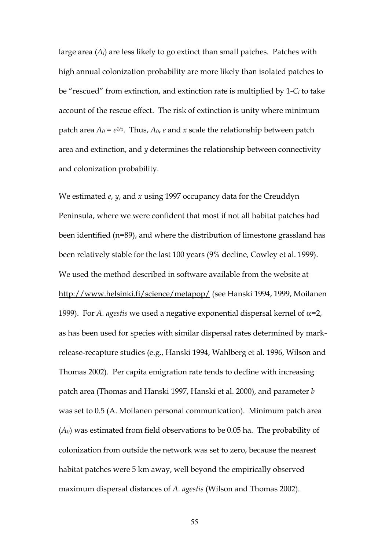large area  $(A_i)$  are less likely to go extinct than small patches. Patches with high annual colonization probability are more likely than isolated patches to be "rescued" from extinction, and extinction rate is multiplied by  $1-C_i$  to take account of the rescue effect. The risk of extinction is unity where minimum patch area  $A_0 = e^{i x}$ . Thus,  $A_0$ , e and x scale the relationship between patch area and extinction, and  $y$  determines the relationship between connectivity and colonization probability.

We estimated  $e$ ,  $y$ , and  $x$  using 1997 occupancy data for the Creuddyn Peninsula, where we were confident that most if not all habitat patches had been identified (n=89), and where the distribution of limestone grassland has been relatively stable for the last 100 years (9% decline, Cowley et al. 1999). We used the method described in software available from the website at http://www.helsinki.fi/science/metapop/ (see Hanski 1994, 1999, Moilanen 1999). For *A. agestis* we used a negative exponential dispersal kernel of  $α=2$ , as has been used for species with similar dispersal rates determined by markrelease-recapture studies (e.g., Hanski 1994, Wahlberg et al. 1996, Wilson and Thomas 2002). Per capita emigration rate tends to decline with increasing patch area (Thomas and Hanski 1997, Hanski et al. 2000), and parameter b was set to 0.5 (A. Moilanen personal communication). Minimum patch area  $(A<sub>0</sub>)$  was estimated from field observations to be 0.05 ha. The probability of colonization from outside the network was set to zero, because the nearest habitat patches were 5 km away, well beyond the empirically observed maximum dispersal distances of A. agestis (Wilson and Thomas 2002).